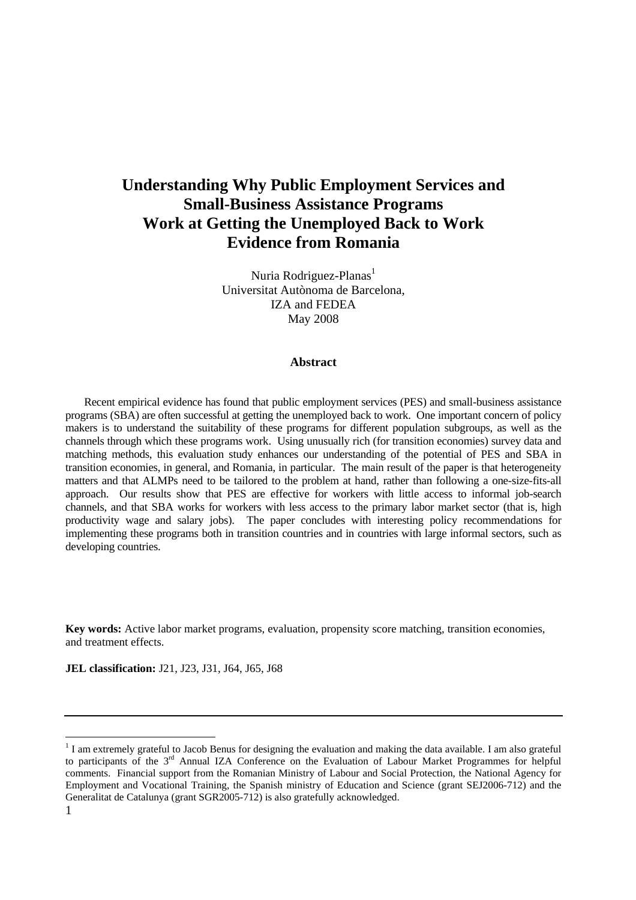# **Understanding Why Public Employment Services and Small-Business Assistance Programs Work at Getting the Unemployed Back to Work Evidence from Romania**

Nuria Rodriguez-Planas<sup>1</sup> Universitat Autònoma de Barcelona, IZA and FEDEA May 2008

#### **Abstract**

Recent empirical evidence has found that public employment services (PES) and small-business assistance programs (SBA) are often successful at getting the unemployed back to work. One important concern of policy makers is to understand the suitability of these programs for different population subgroups, as well as the channels through which these programs work. Using unusually rich (for transition economies) survey data and matching methods, this evaluation study enhances our understanding of the potential of PES and SBA in transition economies, in general, and Romania, in particular. The main result of the paper is that heterogeneity matters and that ALMPs need to be tailored to the problem at hand, rather than following a one-size-fits-all approach. Our results show that PES are effective for workers with little access to informal job-search channels, and that SBA works for workers with less access to the primary labor market sector (that is, high productivity wage and salary jobs). The paper concludes with interesting policy recommendations for implementing these programs both in transition countries and in countries with large informal sectors, such as developing countries.

**Key words:** Active labor market programs, evaluation, propensity score matching, transition economies, and treatment effects.

**JEL classification:** J21, J23, J31, J64, J65, J68

<sup>&</sup>lt;sup>1</sup> I am extremely grateful to Jacob Benus for designing the evaluation and making the data available. I am also grateful to participants of the 3<sup>rd</sup> Annual IZA Conference on the Evaluation of Labour Market Programmes for helpful comments. Financial support from the Romanian Ministry of Labour and Social Protection, the National Agency for Employment and Vocational Training, the Spanish ministry of Education and Science (grant SEJ2006-712) and the Generalitat de Catalunya (grant SGR2005-712) is also gratefully acknowledged.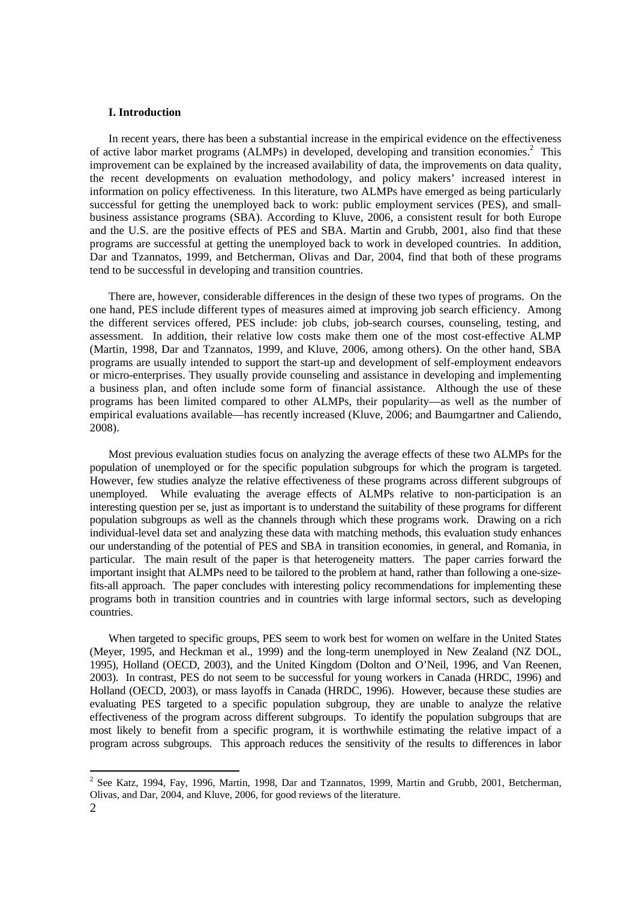### **I. Introduction**

In recent years, there has been a substantial increase in the empirical evidence on the effectiveness of active labor market programs (ALMPs) in developed, developing and transition economies.<sup>2</sup> This improvement can be explained by the increased availability of data, the improvements on data quality, the recent developments on evaluation methodology, and policy makers' increased interest in information on policy effectiveness. In this literature, two ALMPs have emerged as being particularly successful for getting the unemployed back to work: public employment services (PES), and smallbusiness assistance programs (SBA). According to Kluve, 2006, a consistent result for both Europe and the U.S. are the positive effects of PES and SBA. Martin and Grubb, 2001, also find that these programs are successful at getting the unemployed back to work in developed countries. In addition, Dar and Tzannatos, 1999, and Betcherman, Olivas and Dar, 2004, find that both of these programs tend to be successful in developing and transition countries.

 There are, however, considerable differences in the design of these two types of programs. On the one hand, PES include different types of measures aimed at improving job search efficiency. Among the different services offered, PES include: job clubs, job-search courses, counseling, testing, and assessment. In addition, their relative low costs make them one of the most cost-effective ALMP (Martin, 1998, Dar and Tzannatos, 1999, and Kluve, 2006, among others). On the other hand, SBA programs are usually intended to support the start-up and development of self-employment endeavors or micro-enterprises. They usually provide counseling and assistance in developing and implementing a business plan, and often include some form of financial assistance. Although the use of these programs has been limited compared to other ALMPs, their popularity—as well as the number of empirical evaluations available—has recently increased (Kluve, 2006; and Baumgartner and Caliendo, 2008).

Most previous evaluation studies focus on analyzing the average effects of these two ALMPs for the population of unemployed or for the specific population subgroups for which the program is targeted. However, few studies analyze the relative effectiveness of these programs across different subgroups of unemployed. While evaluating the average effects of ALMPs relative to non-participation is an interesting question per se, just as important is to understand the suitability of these programs for different population subgroups as well as the channels through which these programs work. Drawing on a rich individual-level data set and analyzing these data with matching methods, this evaluation study enhances our understanding of the potential of PES and SBA in transition economies, in general, and Romania, in particular. The main result of the paper is that heterogeneity matters. The paper carries forward the important insight that ALMPs need to be tailored to the problem at hand, rather than following a one-sizefits-all approach. The paper concludes with interesting policy recommendations for implementing these programs both in transition countries and in countries with large informal sectors, such as developing countries.

 When targeted to specific groups, PES seem to work best for women on welfare in the United States (Meyer, 1995, and Heckman et al., 1999) and the long-term unemployed in New Zealand (NZ DOL, 1995), Holland (OECD, 2003), and the United Kingdom (Dolton and O'Neil, 1996, and Van Reenen, 2003). In contrast, PES do not seem to be successful for young workers in Canada (HRDC, 1996) and Holland (OECD, 2003), or mass layoffs in Canada (HRDC, 1996). However, because these studies are evaluating PES targeted to a specific population subgroup, they are unable to analyze the relative effectiveness of the program across different subgroups. To identify the population subgroups that are most likely to benefit from a specific program, it is worthwhile estimating the relative impact of a program across subgroups. This approach reduces the sensitivity of the results to differences in labor

 2 See Katz, 1994, Fay, 1996, Martin, 1998, Dar and Tzannatos, 1999, Martin and Grubb, 2001, Betcherman, Olivas, and Dar, 2004, and Kluve, 2006, for good reviews of the literature.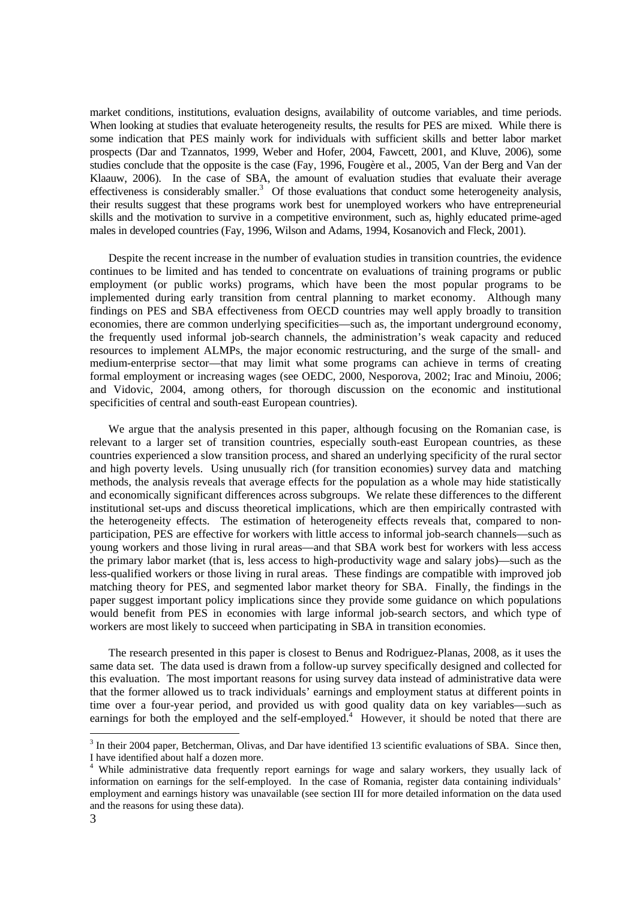market conditions, institutions, evaluation designs, availability of outcome variables, and time periods. When looking at studies that evaluate heterogeneity results, the results for PES are mixed. While there is some indication that PES mainly work for individuals with sufficient skills and better labor market prospects (Dar and Tzannatos, 1999, Weber and Hofer, 2004, Fawcett, 2001, and Kluve, 2006), some studies conclude that the opposite is the case (Fay, 1996, Fougère et al., 2005, Van der Berg and Van der Klaauw, 2006). In the case of SBA, the amount of evaluation studies that evaluate their average effectiveness is considerably smaller.<sup>3</sup> Of those evaluations that conduct some heterogeneity analysis, their results suggest that these programs work best for unemployed workers who have entrepreneurial skills and the motivation to survive in a competitive environment, such as, highly educated prime-aged males in developed countries (Fay, 1996, Wilson and Adams, 1994, Kosanovich and Fleck, 2001).

Despite the recent increase in the number of evaluation studies in transition countries, the evidence continues to be limited and has tended to concentrate on evaluations of training programs or public employment (or public works) programs, which have been the most popular programs to be implemented during early transition from central planning to market economy. Although many findings on PES and SBA effectiveness from OECD countries may well apply broadly to transition economies, there are common underlying specificities—such as, the important underground economy, the frequently used informal job-search channels, the administration's weak capacity and reduced resources to implement ALMPs, the major economic restructuring, and the surge of the small- and medium-enterprise sector—that may limit what some programs can achieve in terms of creating formal employment or increasing wages (see OEDC, 2000, Nesporova, 2002; Irac and Minoiu, 2006; and Vidovic, 2004, among others, for thorough discussion on the economic and institutional specificities of central and south-east European countries).

We argue that the analysis presented in this paper, although focusing on the Romanian case, is relevant to a larger set of transition countries, especially south-east European countries, as these countries experienced a slow transition process, and shared an underlying specificity of the rural sector and high poverty levels. Using unusually rich (for transition economies) survey data and matching methods, the analysis reveals that average effects for the population as a whole may hide statistically and economically significant differences across subgroups. We relate these differences to the different institutional set-ups and discuss theoretical implications, which are then empirically contrasted with the heterogeneity effects. The estimation of heterogeneity effects reveals that, compared to nonparticipation, PES are effective for workers with little access to informal job-search channels—such as young workers and those living in rural areas—and that SBA work best for workers with less access the primary labor market (that is, less access to high-productivity wage and salary jobs)—such as the less-qualified workers or those living in rural areas. These findings are compatible with improved job matching theory for PES, and segmented labor market theory for SBA. Finally, the findings in the paper suggest important policy implications since they provide some guidance on which populations would benefit from PES in economies with large informal job-search sectors, and which type of workers are most likely to succeed when participating in SBA in transition economies.

 The research presented in this paper is closest to Benus and Rodriguez-Planas, 2008, as it uses the same data set. The data used is drawn from a follow-up survey specifically designed and collected for this evaluation. The most important reasons for using survey data instead of administrative data were that the former allowed us to track individuals' earnings and employment status at different points in time over a four-year period, and provided us with good quality data on key variables—such as earnings for both the employed and the self-employed.<sup>4</sup> However, it should be noted that there are

 $3$  In their 2004 paper, Betcherman, Olivas, and Dar have identified 13 scientific evaluations of SBA. Since then, I have identified about half a dozen more.

<sup>&</sup>lt;sup>4</sup> While administrative data frequently report earnings for wage and salary workers, they usually lack of information on earnings for the self-employed. In the case of Romania, register data containing individuals' employment and earnings history was unavailable (see section III for more detailed information on the data used and the reasons for using these data).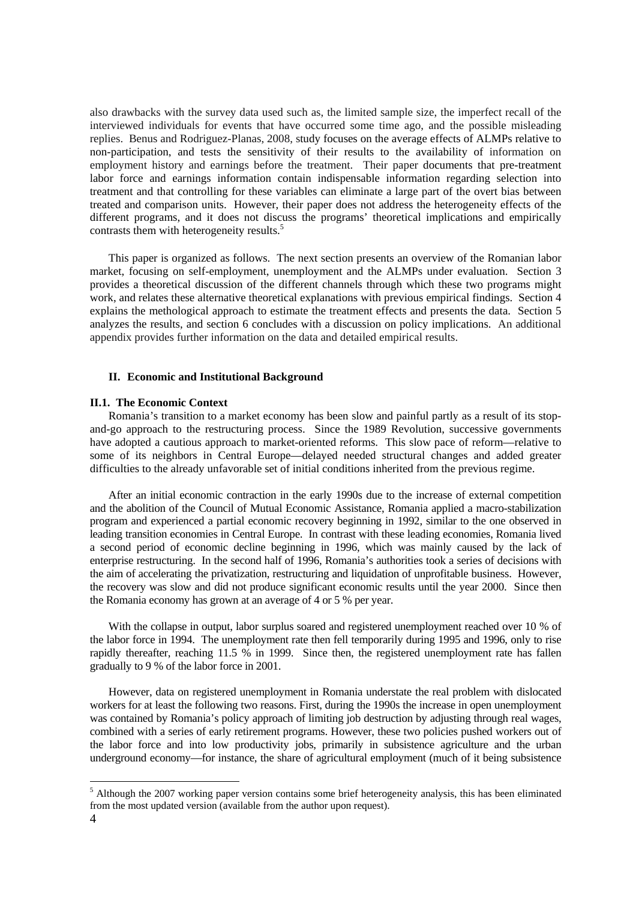also drawbacks with the survey data used such as, the limited sample size, the imperfect recall of the interviewed individuals for events that have occurred some time ago, and the possible misleading replies. Benus and Rodriguez-Planas, 2008, study focuses on the average effects of ALMPs relative to non-participation, and tests the sensitivity of their results to the availability of information on employment history and earnings before the treatment. Their paper documents that pre-treatment labor force and earnings information contain indispensable information regarding selection into treatment and that controlling for these variables can eliminate a large part of the overt bias between treated and comparison units. However, their paper does not address the heterogeneity effects of the different programs, and it does not discuss the programs' theoretical implications and empirically contrasts them with heterogeneity results.<sup>5</sup>

 This paper is organized as follows. The next section presents an overview of the Romanian labor market, focusing on self-employment, unemployment and the ALMPs under evaluation. Section 3 provides a theoretical discussion of the different channels through which these two programs might work, and relates these alternative theoretical explanations with previous empirical findings. Section 4 explains the methological approach to estimate the treatment effects and presents the data. Section 5 analyzes the results, and section 6 concludes with a discussion on policy implications. An additional appendix provides further information on the data and detailed empirical results.

#### **II. Economic and Institutional Background**

#### **II.1. The Economic Context**

Romania's transition to a market economy has been slow and painful partly as a result of its stopand-go approach to the restructuring process. Since the 1989 Revolution, successive governments have adopted a cautious approach to market-oriented reforms. This slow pace of reform—relative to some of its neighbors in Central Europe—delayed needed structural changes and added greater difficulties to the already unfavorable set of initial conditions inherited from the previous regime.

 After an initial economic contraction in the early 1990s due to the increase of external competition and the abolition of the Council of Mutual Economic Assistance, Romania applied a macro-stabilization program and experienced a partial economic recovery beginning in 1992, similar to the one observed in leading transition economies in Central Europe. In contrast with these leading economies, Romania lived a second period of economic decline beginning in 1996, which was mainly caused by the lack of enterprise restructuring. In the second half of 1996, Romania's authorities took a series of decisions with the aim of accelerating the privatization, restructuring and liquidation of unprofitable business. However, the recovery was slow and did not produce significant economic results until the year 2000. Since then the Romania economy has grown at an average of 4 or 5 % per year.

With the collapse in output, labor surplus soared and registered unemployment reached over 10 % of the labor force in 1994. The unemployment rate then fell temporarily during 1995 and 1996, only to rise rapidly thereafter, reaching 11.5 % in 1999. Since then, the registered unemployment rate has fallen gradually to 9 % of the labor force in 2001.

 However, data on registered unemployment in Romania understate the real problem with dislocated workers for at least the following two reasons. First, during the 1990s the increase in open unemployment was contained by Romania's policy approach of limiting job destruction by adjusting through real wages, combined with a series of early retirement programs. However, these two policies pushed workers out of the labor force and into low productivity jobs, primarily in subsistence agriculture and the urban underground economy—for instance, the share of agricultural employment (much of it being subsistence

<sup>&</sup>lt;sup>5</sup> Although the 2007 working paper version contains some brief heterogeneity analysis, this has been eliminated from the most updated version (available from the author upon request).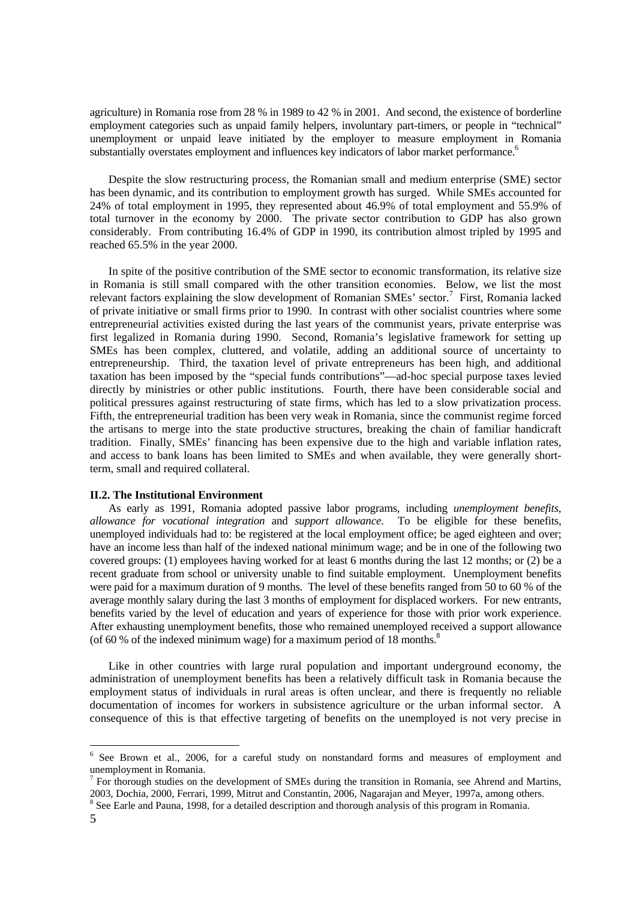agriculture) in Romania rose from 28 % in 1989 to 42 % in 2001. And second, the existence of borderline employment categories such as unpaid family helpers, involuntary part-timers, or people in "technical" unemployment or unpaid leave initiated by the employer to measure employment in Romania substantially overstates employment and influences key indicators of labor market performance.<sup>6</sup>

Despite the slow restructuring process, the Romanian small and medium enterprise (SME) sector has been dynamic, and its contribution to employment growth has surged. While SMEs accounted for 24% of total employment in 1995, they represented about 46.9% of total employment and 55.9% of total turnover in the economy by 2000. The private sector contribution to GDP has also grown considerably. From contributing 16.4% of GDP in 1990, its contribution almost tripled by 1995 and reached 65.5% in the year 2000.

In spite of the positive contribution of the SME sector to economic transformation, its relative size in Romania is still small compared with the other transition economies. Below, we list the most relevant factors explaining the slow development of Romanian SMEs' sector.<sup>7</sup> First, Romania lacked of private initiative or small firms prior to 1990. In contrast with other socialist countries where some entrepreneurial activities existed during the last years of the communist years, private enterprise was first legalized in Romania during 1990. Second, Romania's legislative framework for setting up SMEs has been complex, cluttered, and volatile, adding an additional source of uncertainty to entrepreneurship. Third, the taxation level of private entrepreneurs has been high, and additional taxation has been imposed by the "special funds contributions"—ad-hoc special purpose taxes levied directly by ministries or other public institutions. Fourth, there have been considerable social and political pressures against restructuring of state firms, which has led to a slow privatization process. Fifth, the entrepreneurial tradition has been very weak in Romania, since the communist regime forced the artisans to merge into the state productive structures, breaking the chain of familiar handicraft tradition. Finally, SMEs' financing has been expensive due to the high and variable inflation rates, and access to bank loans has been limited to SMEs and when available, they were generally shortterm, small and required collateral.

#### **II.2. The Institutional Environment**

 As early as 1991, Romania adopted passive labor programs, including *unemployment benefits*, *allowance for vocational integration* and *support allowance*. To be eligible for these benefits, unemployed individuals had to: be registered at the local employment office; be aged eighteen and over; have an income less than half of the indexed national minimum wage; and be in one of the following two covered groups: (1) employees having worked for at least 6 months during the last 12 months; or (2) be a recent graduate from school or university unable to find suitable employment. Unemployment benefits were paid for a maximum duration of 9 months. The level of these benefits ranged from 50 to 60 % of the average monthly salary during the last 3 months of employment for displaced workers. For new entrants, benefits varied by the level of education and years of experience for those with prior work experience. After exhausting unemployment benefits, those who remained unemployed received a support allowance (of 60 % of the indexed minimum wage) for a maximum period of  $18$  months.<sup>8</sup>

Like in other countries with large rural population and important underground economy, the administration of unemployment benefits has been a relatively difficult task in Romania because the employment status of individuals in rural areas is often unclear, and there is frequently no reliable documentation of incomes for workers in subsistence agriculture or the urban informal sector. A consequence of this is that effective targeting of benefits on the unemployed is not very precise in

<sup>&</sup>lt;sup>6</sup> See Brown et al., 2006, for a careful study on nonstandard forms and measures of employment and unemployment in Romania.

<sup>7</sup> For thorough studies on the development of SMEs during the transition in Romania, see Ahrend and Martins, 2003, Dochia, 2000, Ferrari, 1999, Mitrut and Constantin, 2006, Nagarajan and Meyer, 1997a, among others.

<sup>&</sup>lt;sup>8</sup> See Earle and Pauna, 1998, for a detailed description and thorough analysis of this program in Romania.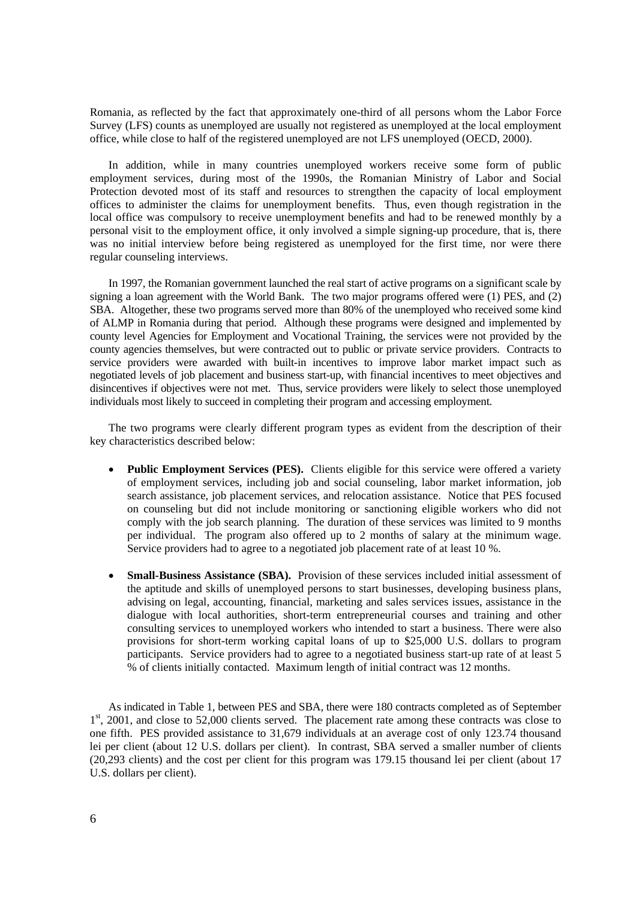Romania, as reflected by the fact that approximately one-third of all persons whom the Labor Force Survey (LFS) counts as unemployed are usually not registered as unemployed at the local employment office, while close to half of the registered unemployed are not LFS unemployed (OECD, 2000).

In addition, while in many countries unemployed workers receive some form of public employment services, during most of the 1990s, the Romanian Ministry of Labor and Social Protection devoted most of its staff and resources to strengthen the capacity of local employment offices to administer the claims for unemployment benefits. Thus, even though registration in the local office was compulsory to receive unemployment benefits and had to be renewed monthly by a personal visit to the employment office, it only involved a simple signing-up procedure, that is, there was no initial interview before being registered as unemployed for the first time, nor were there regular counseling interviews.

 In 1997, the Romanian government launched the real start of active programs on a significant scale by signing a loan agreement with the World Bank. The two major programs offered were (1) PES, and (2) SBA. Altogether, these two programs served more than 80% of the unemployed who received some kind of ALMP in Romania during that period. Although these programs were designed and implemented by county level Agencies for Employment and Vocational Training, the services were not provided by the county agencies themselves, but were contracted out to public or private service providers. Contracts to service providers were awarded with built-in incentives to improve labor market impact such as negotiated levels of job placement and business start-up, with financial incentives to meet objectives and disincentives if objectives were not met. Thus, service providers were likely to select those unemployed individuals most likely to succeed in completing their program and accessing employment.

 The two programs were clearly different program types as evident from the description of their key characteristics described below:

- **Public Employment Services (PES).** Clients eligible for this service were offered a variety of employment services, including job and social counseling, labor market information, job search assistance, job placement services, and relocation assistance. Notice that PES focused on counseling but did not include monitoring or sanctioning eligible workers who did not comply with the job search planning. The duration of these services was limited to 9 months per individual. The program also offered up to 2 months of salary at the minimum wage. Service providers had to agree to a negotiated job placement rate of at least 10 %.
- **Small-Business Assistance (SBA).** Provision of these services included initial assessment of the aptitude and skills of unemployed persons to start businesses, developing business plans, advising on legal, accounting, financial, marketing and sales services issues, assistance in the dialogue with local authorities, short-term entrepreneurial courses and training and other consulting services to unemployed workers who intended to start a business. There were also provisions for short-term working capital loans of up to \$25,000 U.S. dollars to program participants. Service providers had to agree to a negotiated business start-up rate of at least 5 % of clients initially contacted. Maximum length of initial contract was 12 months.

 As indicated in Table 1, between PES and SBA, there were 180 contracts completed as of September  $1<sup>st</sup>$ , 2001, and close to 52,000 clients served. The placement rate among these contracts was close to one fifth. PES provided assistance to 31,679 individuals at an average cost of only 123.74 thousand lei per client (about 12 U.S. dollars per client). In contrast, SBA served a smaller number of clients (20,293 clients) and the cost per client for this program was 179.15 thousand lei per client (about 17 U.S. dollars per client).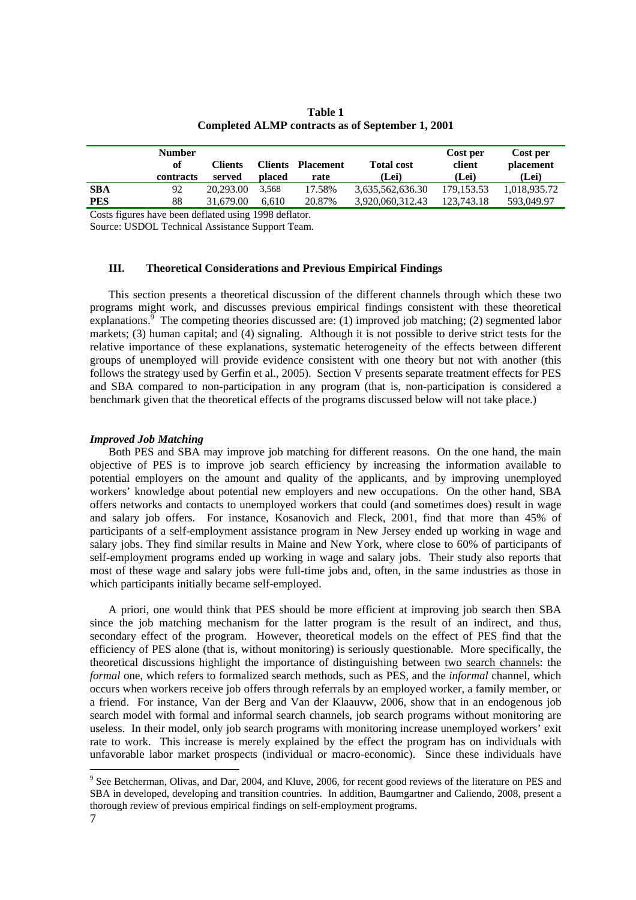|            | <b>Number</b><br>of<br>contracts | <b>Clients</b><br>served | <b>Clients</b><br>placed | Placement<br>rate | <b>Total cost</b><br>(Lei) | Cost per<br>client<br>(Lei) | Cost per<br>placement<br>(Lei) |
|------------|----------------------------------|--------------------------|--------------------------|-------------------|----------------------------|-----------------------------|--------------------------------|
| <b>SBA</b> | 92                               | 20,293.00                | 3.568                    | 17.58%            | 3,635,562,636.30           | 179.153.53                  | 1,018,935.72                   |
| <b>PES</b> | 88                               | 31,679.00                | 6.610                    | 20.87%            | 3,920,060,312.43           | 123,743.18                  | 593,049.97                     |

**Table 1 Completed ALMP contracts as of September 1, 2001** 

Costs figures have been deflated using 1998 deflator.

Source: USDOL Technical Assistance Support Team.

## **III. Theoretical Considerations and Previous Empirical Findings**

 This section presents a theoretical discussion of the different channels through which these two programs might work, and discusses previous empirical findings consistent with these theoretical explanations.<sup>9</sup> The competing theories discussed are: (1) improved job matching; (2) segmented labor markets; (3) human capital; and (4) signaling. Although it is not possible to derive strict tests for the relative importance of these explanations, systematic heterogeneity of the effects between different groups of unemployed will provide evidence consistent with one theory but not with another (this follows the strategy used by Gerfin et al., 2005). Section V presents separate treatment effects for PES and SBA compared to non-participation in any program (that is, non-participation is considered a benchmark given that the theoretical effects of the programs discussed below will not take place.)

## *Improved Job Matching*

 Both PES and SBA may improve job matching for different reasons. On the one hand, the main objective of PES is to improve job search efficiency by increasing the information available to potential employers on the amount and quality of the applicants, and by improving unemployed workers' knowledge about potential new employers and new occupations. On the other hand, SBA offers networks and contacts to unemployed workers that could (and sometimes does) result in wage and salary job offers. For instance, Kosanovich and Fleck, 2001, find that more than 45% of participants of a self-employment assistance program in New Jersey ended up working in wage and salary jobs. They find similar results in Maine and New York, where close to 60% of participants of self-employment programs ended up working in wage and salary jobs. Their study also reports that most of these wage and salary jobs were full-time jobs and, often, in the same industries as those in which participants initially became self-employed.

A priori, one would think that PES should be more efficient at improving job search then SBA since the job matching mechanism for the latter program is the result of an indirect, and thus, secondary effect of the program. However, theoretical models on the effect of PES find that the efficiency of PES alone (that is, without monitoring) is seriously questionable. More specifically, the theoretical discussions highlight the importance of distinguishing between two search channels: the *formal* one, which refers to formalized search methods, such as PES, and the *informal* channel, which occurs when workers receive job offers through referrals by an employed worker, a family member, or a friend. For instance, Van der Berg and Van der Klaauvw, 2006, show that in an endogenous job search model with formal and informal search channels, job search programs without monitoring are useless. In their model, only job search programs with monitoring increase unemployed workers' exit rate to work. This increase is merely explained by the effect the program has on individuals with unfavorable labor market prospects (individual or macro-economic). Since these individuals have

 $\overline{a}$ 

<sup>&</sup>lt;sup>9</sup> See Betcherman, Olivas, and Dar, 2004, and Kluve, 2006, for recent good reviews of the literature on PES and SBA in developed, developing and transition countries. In addition, Baumgartner and Caliendo, 2008, present a thorough review of previous empirical findings on self-employment programs.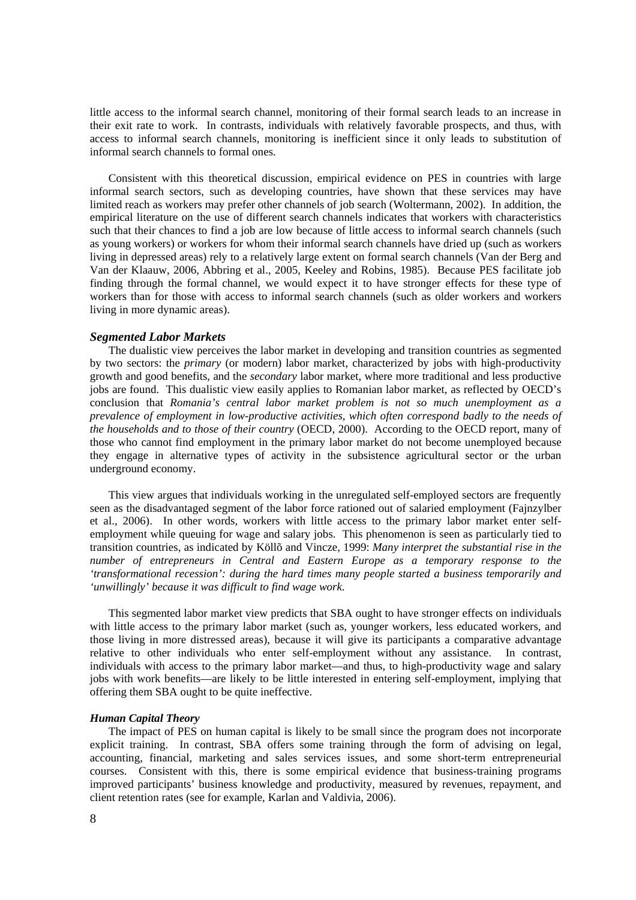little access to the informal search channel, monitoring of their formal search leads to an increase in their exit rate to work. In contrasts, individuals with relatively favorable prospects, and thus, with access to informal search channels, monitoring is inefficient since it only leads to substitution of informal search channels to formal ones.

 Consistent with this theoretical discussion, empirical evidence on PES in countries with large informal search sectors, such as developing countries, have shown that these services may have limited reach as workers may prefer other channels of job search (Woltermann, 2002). In addition, the empirical literature on the use of different search channels indicates that workers with characteristics such that their chances to find a job are low because of little access to informal search channels (such as young workers) or workers for whom their informal search channels have dried up (such as workers living in depressed areas) rely to a relatively large extent on formal search channels (Van der Berg and Van der Klaauw, 2006, Abbring et al., 2005, Keeley and Robins, 1985). Because PES facilitate job finding through the formal channel, we would expect it to have stronger effects for these type of workers than for those with access to informal search channels (such as older workers and workers living in more dynamic areas).

#### *Segmented Labor Markets*

The dualistic view perceives the labor market in developing and transition countries as segmented by two sectors: the *primary* (or modern) labor market, characterized by jobs with high-productivity growth and good benefits, and the *secondary* labor market, where more traditional and less productive jobs are found. This dualistic view easily applies to Romanian labor market, as reflected by OECD's conclusion that *Romania's central labor market problem is not so much unemployment as a prevalence of employment in low-productive activities, which often correspond badly to the needs of the households and to those of their country* (OECD, 2000). According to the OECD report, many of those who cannot find employment in the primary labor market do not become unemployed because they engage in alternative types of activity in the subsistence agricultural sector or the urban underground economy.

This view argues that individuals working in the unregulated self-employed sectors are frequently seen as the disadvantaged segment of the labor force rationed out of salaried employment (Fajnzylber et al., 2006). In other words, workers with little access to the primary labor market enter selfemployment while queuing for wage and salary jobs. This phenomenon is seen as particularly tied to transition countries, as indicated by Köllõ and Vincze, 1999: *Many interpret the substantial rise in the number of entrepreneurs in Central and Eastern Europe as a temporary response to the 'transformational recession': during the hard times many people started a business temporarily and 'unwillingly' because it was difficult to find wage work.* 

This segmented labor market view predicts that SBA ought to have stronger effects on individuals with little access to the primary labor market (such as, younger workers, less educated workers, and those living in more distressed areas), because it will give its participants a comparative advantage relative to other individuals who enter self-employment without any assistance. In contrast, individuals with access to the primary labor market—and thus, to high-productivity wage and salary jobs with work benefits—are likely to be little interested in entering self-employment, implying that offering them SBA ought to be quite ineffective.

#### *Human Capital Theory*

 The impact of PES on human capital is likely to be small since the program does not incorporate explicit training. In contrast, SBA offers some training through the form of advising on legal, accounting, financial, marketing and sales services issues, and some short-term entrepreneurial courses. Consistent with this, there is some empirical evidence that business-training programs improved participants' business knowledge and productivity, measured by revenues, repayment, and client retention rates (see for example, Karlan and Valdivia, 2006).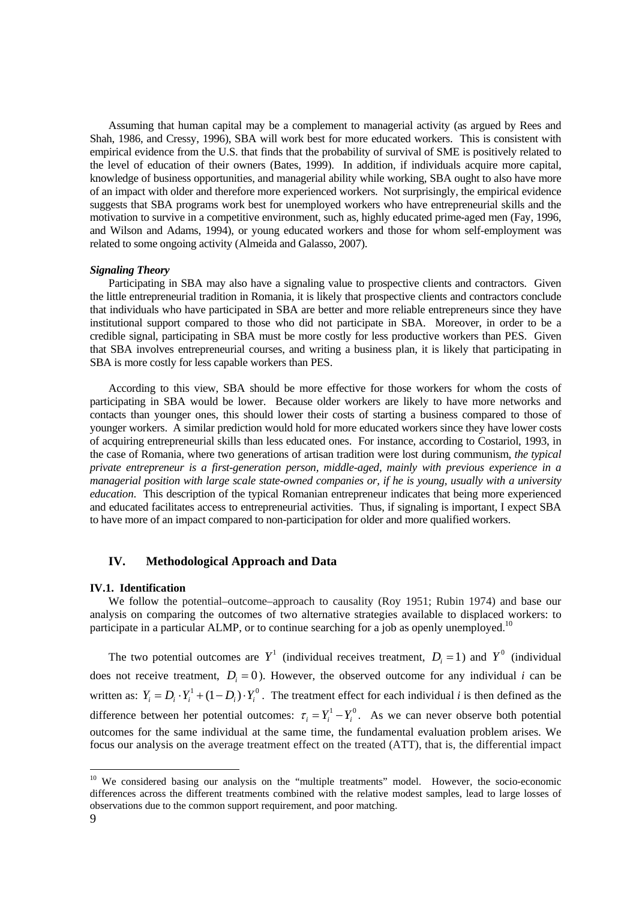Assuming that human capital may be a complement to managerial activity (as argued by Rees and Shah, 1986, and Cressy, 1996), SBA will work best for more educated workers. This is consistent with empirical evidence from the U.S. that finds that the probability of survival of SME is positively related to the level of education of their owners (Bates, 1999). In addition, if individuals acquire more capital, knowledge of business opportunities, and managerial ability while working, SBA ought to also have more of an impact with older and therefore more experienced workers. Not surprisingly, the empirical evidence suggests that SBA programs work best for unemployed workers who have entrepreneurial skills and the motivation to survive in a competitive environment, such as, highly educated prime-aged men (Fay, 1996, and Wilson and Adams, 1994), or young educated workers and those for whom self-employment was related to some ongoing activity (Almeida and Galasso, 2007).

#### *Signaling Theory*

 Participating in SBA may also have a signaling value to prospective clients and contractors. Given the little entrepreneurial tradition in Romania, it is likely that prospective clients and contractors conclude that individuals who have participated in SBA are better and more reliable entrepreneurs since they have institutional support compared to those who did not participate in SBA. Moreover, in order to be a credible signal, participating in SBA must be more costly for less productive workers than PES. Given that SBA involves entrepreneurial courses, and writing a business plan, it is likely that participating in SBA is more costly for less capable workers than PES.

 According to this view, SBA should be more effective for those workers for whom the costs of participating in SBA would be lower. Because older workers are likely to have more networks and contacts than younger ones, this should lower their costs of starting a business compared to those of younger workers. A similar prediction would hold for more educated workers since they have lower costs of acquiring entrepreneurial skills than less educated ones. For instance, according to Costariol, 1993, in the case of Romania, where two generations of artisan tradition were lost during communism, *the typical private entrepreneur is a first-generation person, middle-aged, mainly with previous experience in a managerial position with large scale state-owned companies or, if he is young, usually with a university education*. This description of the typical Romanian entrepreneur indicates that being more experienced and educated facilitates access to entrepreneurial activities. Thus, if signaling is important, I expect SBA to have more of an impact compared to non-participation for older and more qualified workers.

## **IV. Methodological Approach and Data**

#### **IV.1. Identification**

We follow the potential–outcome–approach to causality (Roy 1951; Rubin 1974) and base our analysis on comparing the outcomes of two alternative strategies available to displaced workers: to participate in a particular ALMP, or to continue searching for a job as openly unemployed.<sup>10</sup>

The two potential outcomes are  $Y^1$  (individual receives treatment,  $D_i = 1$ ) and  $Y^0$  (individual does not receive treatment,  $D_i = 0$ ). However, the observed outcome for any individual *i* can be written as:  $Y_i = D_i \cdot Y_i^1 + (1 - D_i) \cdot Y_i^0$ . The treatment effect for each individual *i* is then defined as the difference between her potential outcomes:  $\tau_i = Y_i^1 - Y_i^0$ . As we can never observe both potential outcomes for the same individual at the same time, the fundamental evaluation problem arises. We focus our analysis on the average treatment effect on the treated (ATT), that is, the differential impact

 $\overline{a}$ 

<sup>&</sup>lt;sup>10</sup> We considered basing our analysis on the "multiple treatments" model. However, the socio-economic differences across the different treatments combined with the relative modest samples, lead to large losses of observations due to the common support requirement, and poor matching.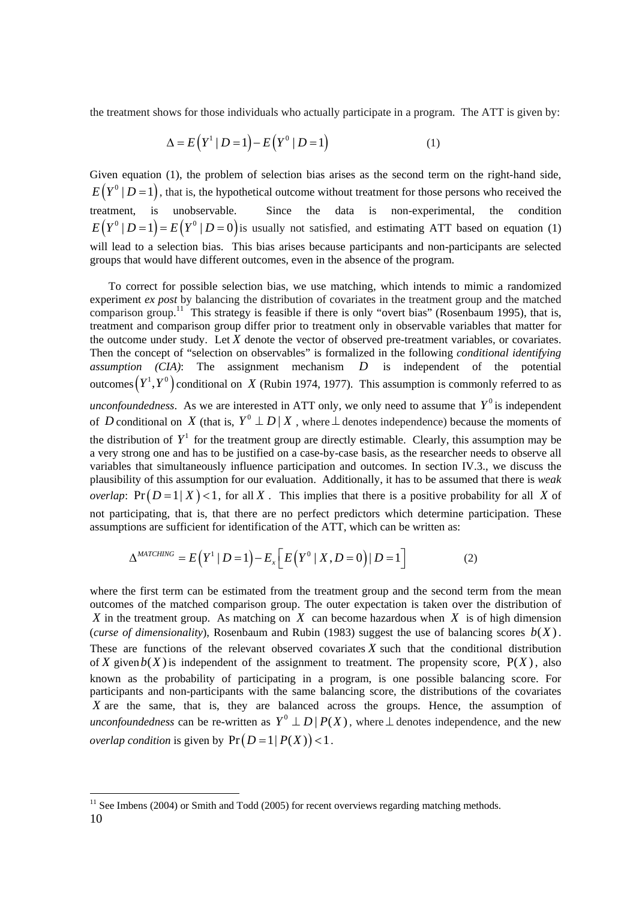the treatment shows for those individuals who actually participate in a program. The ATT is given by:

$$
\Delta = E(Y^1 | D = 1) - E(Y^0 | D = 1)
$$
 (1)

Given equation (1), the problem of selection bias arises as the second term on the right-hand side,  $E(Y^0 | D = 1)$ , that is, the hypothetical outcome without treatment for those persons who received the treatment, is unobservable. Since the data is non-experimental, the condition  $E(Y^0 | D=1) = E(Y^0 | D=0)$  is usually not satisfied, and estimating ATT based on equation (1) will lead to a selection bias. This bias arises because participants and non-participants are selected groups that would have different outcomes, even in the absence of the program.

To correct for possible selection bias, we use matching, which intends to mimic a randomized experiment *ex post* by balancing the distribution of covariates in the treatment group and the matched comparison group.<sup>11</sup> This strategy is feasible if there is only "overt bias" (Rosenbaum 1995), that is, treatment and comparison group differ prior to treatment only in observable variables that matter for the outcome under study. Let  $X$  denote the vector of observed pre-treatment variables, or covariates. Then the concept of "selection on observables" is formalized in the following *conditional identifying assumption (CIA)*: The assignment mechanism *D* is independent of the potential outcomes  $(Y^1, Y^0)$  conditional on *X* (Rubin 1974, 1977). This assumption is commonly referred to as *unconfoundedness.* As we are interested in ATT only, we only need to assume that  $Y^0$  is independent of *D* conditional on *X* (that is,  $Y^0 \perp D \mid X$ , where  $\perp$  denotes independence) because the moments of the distribution of  $Y^1$  for the treatment group are directly estimable. Clearly, this assumption may be a very strong one and has to be justified on a case-by-case basis, as the researcher needs to observe all variables that simultaneously influence participation and outcomes. In section IV.3., we discuss the plausibility of this assumption for our evaluation. Additionally, it has to be assumed that there is *weak overlap*:  $Pr(D=1|X) < 1$ , for all X. This implies that there is a positive probability for all X of not participating, that is, that there are no perfect predictors which determine participation. These assumptions are sufficient for identification of the ATT, which can be written as:

$$
\Delta^{MATCHING} = E\left(Y^1 \mid D=1\right) - E_x\left[E\left(Y^0 \mid X, D=0\right) \mid D=1\right] \tag{2}
$$

where the first term can be estimated from the treatment group and the second term from the mean outcomes of the matched comparison group. The outer expectation is taken over the distribution of *X* in the treatment group. As matching on *X* can become hazardous when *X* is of high dimension (*curse of dimensionality*), Rosenbaum and Rubin (1983) suggest the use of balancing scores  $b(X)$ . These are functions of the relevant observed covariates  $X$  such that the conditional distribution of X given  $b(X)$  is independent of the assignment to treatment. The propensity score,  $P(X)$ , also known as the probability of participating in a program, is one possible balancing score. For participants and non-participants with the same balancing score, the distributions of the covariates X are the same, that is, they are balanced across the groups. Hence, the assumption of *unconfoundedness* can be re-written as  $Y^0 \perp D \mid P(X)$ , where  $\perp$  denotes independence, and the new *overlap condition* is given by  $Pr(D=1 | P(X)) < 1$ .

 10  $11$  See Imbens (2004) or Smith and Todd (2005) for recent overviews regarding matching methods.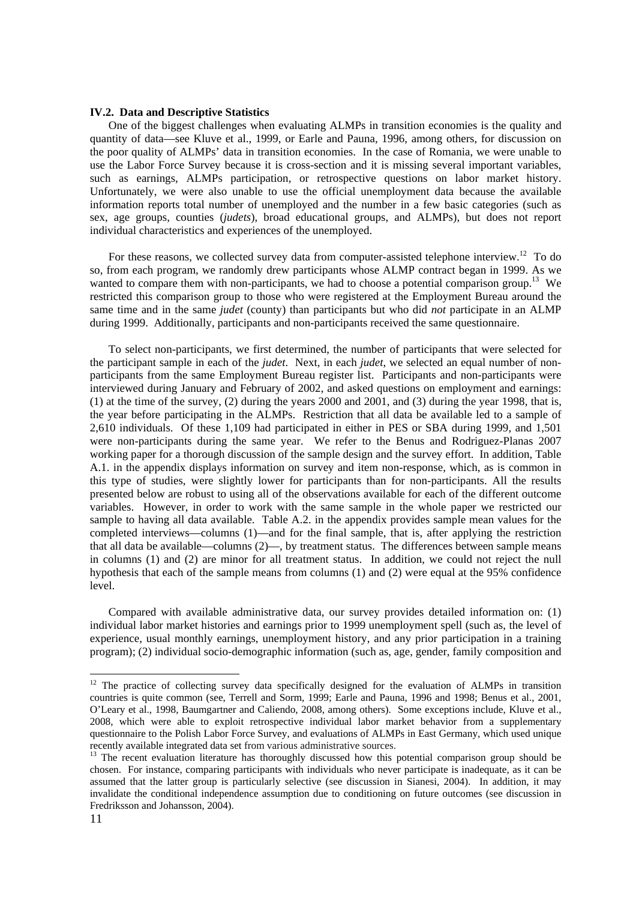#### **IV.2. Data and Descriptive Statistics**

One of the biggest challenges when evaluating ALMPs in transition economies is the quality and quantity of data—see Kluve et al., 1999, or Earle and Pauna, 1996, among others, for discussion on the poor quality of ALMPs' data in transition economies. In the case of Romania, we were unable to use the Labor Force Survey because it is cross-section and it is missing several important variables, such as earnings, ALMPs participation, or retrospective questions on labor market history. Unfortunately, we were also unable to use the official unemployment data because the available information reports total number of unemployed and the number in a few basic categories (such as sex, age groups, counties (*judets*), broad educational groups, and ALMPs), but does not report individual characteristics and experiences of the unemployed.

For these reasons, we collected survey data from computer-assisted telephone interview.<sup>12</sup> To do so, from each program, we randomly drew participants whose ALMP contract began in 1999. As we wanted to compare them with non-participants, we had to choose a potential comparison group.<sup>13</sup> We restricted this comparison group to those who were registered at the Employment Bureau around the same time and in the same *judet* (county) than participants but who did *not* participate in an ALMP during 1999. Additionally, participants and non-participants received the same questionnaire.

 To select non-participants, we first determined, the number of participants that were selected for the participant sample in each of the *judet*. Next, in each *judet*, we selected an equal number of nonparticipants from the same Employment Bureau register list. Participants and non-participants were interviewed during January and February of 2002, and asked questions on employment and earnings: (1) at the time of the survey, (2) during the years 2000 and 2001, and (3) during the year 1998, that is, the year before participating in the ALMPs. Restriction that all data be available led to a sample of 2,610 individuals. Of these 1,109 had participated in either in PES or SBA during 1999, and 1,501 were non-participants during the same year. We refer to the Benus and Rodriguez-Planas 2007 working paper for a thorough discussion of the sample design and the survey effort. In addition, Table A.1. in the appendix displays information on survey and item non-response, which, as is common in this type of studies, were slightly lower for participants than for non-participants. All the results presented below are robust to using all of the observations available for each of the different outcome variables. However, in order to work with the same sample in the whole paper we restricted our sample to having all data available. Table A.2. in the appendix provides sample mean values for the completed interviews—columns (1)—and for the final sample, that is, after applying the restriction that all data be available—columns (2)—, by treatment status. The differences between sample means in columns (1) and (2) are minor for all treatment status. In addition, we could not reject the null hypothesis that each of the sample means from columns (1) and (2) were equal at the 95% confidence level.

 Compared with available administrative data, our survey provides detailed information on: (1) individual labor market histories and earnings prior to 1999 unemployment spell (such as, the level of experience, usual monthly earnings, unemployment history, and any prior participation in a training program); (2) individual socio-demographic information (such as, age, gender, family composition and

<sup>&</sup>lt;sup>12</sup> The practice of collecting survey data specifically designed for the evaluation of ALMPs in transition countries is quite common (see, Terrell and Sorm, 1999; Earle and Pauna, 1996 and 1998; Benus et al., 2001, O'Leary et al., 1998, Baumgartner and Caliendo, 2008, among others). Some exceptions include, Kluve et al., 2008, which were able to exploit retrospective individual labor market behavior from a supplementary questionnaire to the Polish Labor Force Survey, and evaluations of ALMPs in East Germany, which used unique recently available integrated data set from various administrative sources.<br><sup>13</sup> The recent evaluation literature has thoroughly discussed how this potential comparison group should be

chosen. For instance, comparing participants with individuals who never participate is inadequate, as it can be assumed that the latter group is particularly selective (see discussion in Sianesi, 2004). In addition, it may invalidate the conditional independence assumption due to conditioning on future outcomes (see discussion in Fredriksson and Johansson, 2004).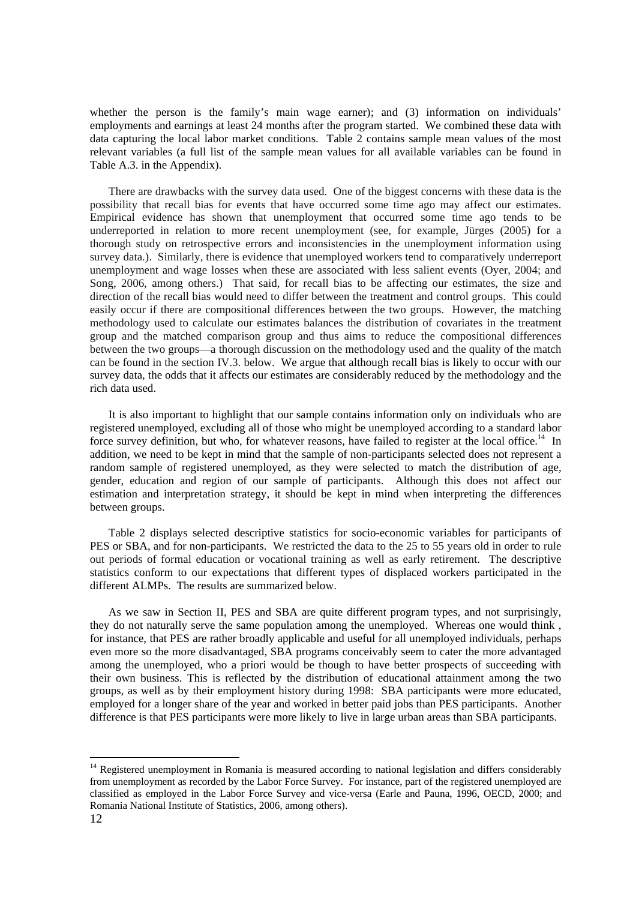whether the person is the family's main wage earner); and (3) information on individuals' employments and earnings at least 24 months after the program started. We combined these data with data capturing the local labor market conditions. Table 2 contains sample mean values of the most relevant variables (a full list of the sample mean values for all available variables can be found in Table A.3. in the Appendix).

There are drawbacks with the survey data used. One of the biggest concerns with these data is the possibility that recall bias for events that have occurred some time ago may affect our estimates. Empirical evidence has shown that unemployment that occurred some time ago tends to be underreported in relation to more recent unemployment (see, for example, Jürges (2005) for a thorough study on retrospective errors and inconsistencies in the unemployment information using survey data.). Similarly, there is evidence that unemployed workers tend to comparatively underreport unemployment and wage losses when these are associated with less salient events (Oyer, 2004; and Song, 2006, among others.) That said, for recall bias to be affecting our estimates, the size and direction of the recall bias would need to differ between the treatment and control groups. This could easily occur if there are compositional differences between the two groups. However, the matching methodology used to calculate our estimates balances the distribution of covariates in the treatment group and the matched comparison group and thus aims to reduce the compositional differences between the two groups—a thorough discussion on the methodology used and the quality of the match can be found in the section IV.3. below. We argue that although recall bias is likely to occur with our survey data, the odds that it affects our estimates are considerably reduced by the methodology and the rich data used.

It is also important to highlight that our sample contains information only on individuals who are registered unemployed, excluding all of those who might be unemployed according to a standard labor force survey definition, but who, for whatever reasons, have failed to register at the local office.<sup>14</sup> In addition, we need to be kept in mind that the sample of non-participants selected does not represent a random sample of registered unemployed, as they were selected to match the distribution of age, gender, education and region of our sample of participants. Although this does not affect our estimation and interpretation strategy, it should be kept in mind when interpreting the differences between groups.

Table 2 displays selected descriptive statistics for socio-economic variables for participants of PES or SBA, and for non-participants. We restricted the data to the 25 to 55 years old in order to rule out periods of formal education or vocational training as well as early retirement. The descriptive statistics conform to our expectations that different types of displaced workers participated in the different ALMPs. The results are summarized below.

As we saw in Section II, PES and SBA are quite different program types, and not surprisingly, they do not naturally serve the same population among the unemployed. Whereas one would think , for instance, that PES are rather broadly applicable and useful for all unemployed individuals, perhaps even more so the more disadvantaged, SBA programs conceivably seem to cater the more advantaged among the unemployed, who a priori would be though to have better prospects of succeeding with their own business. This is reflected by the distribution of educational attainment among the two groups, as well as by their employment history during 1998: SBA participants were more educated, employed for a longer share of the year and worked in better paid jobs than PES participants. Another difference is that PES participants were more likely to live in large urban areas than SBA participants.

 $\overline{a}$ 

<sup>&</sup>lt;sup>14</sup> Registered unemployment in Romania is measured according to national legislation and differs considerably from unemployment as recorded by the Labor Force Survey. For instance, part of the registered unemployed are classified as employed in the Labor Force Survey and vice-versa (Earle and Pauna, 1996, OECD, 2000; and Romania National Institute of Statistics, 2006, among others).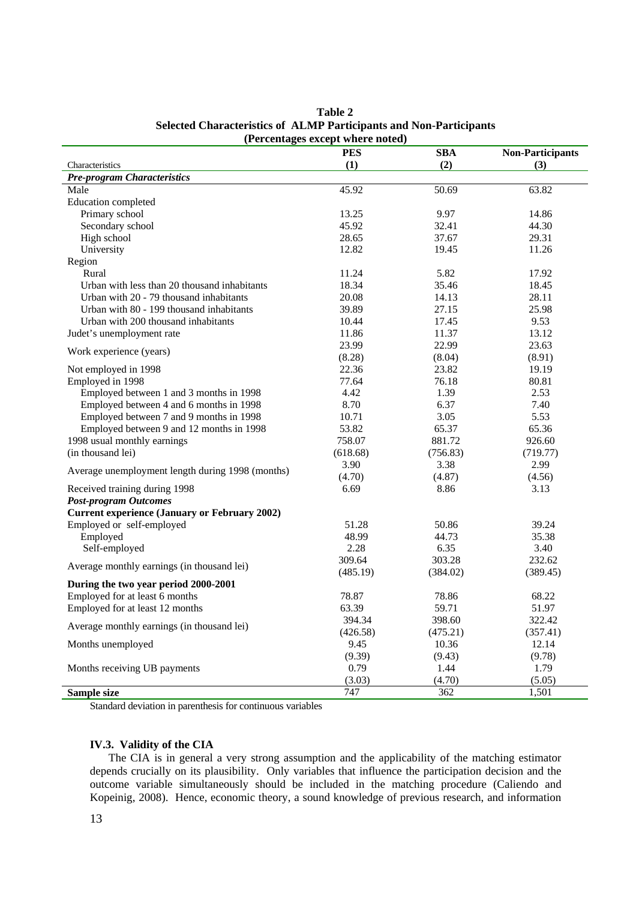|                                                      | (Percentages except where noted) |            |                         |
|------------------------------------------------------|----------------------------------|------------|-------------------------|
|                                                      | <b>PES</b>                       | <b>SBA</b> | <b>Non-Participants</b> |
| Characteristics                                      | (1)                              | (2)        | (3)                     |
| <b>Pre-program Characteristics</b>                   |                                  |            |                         |
| Male                                                 | 45.92                            | 50.69      | 63.82                   |
| <b>Education</b> completed                           |                                  |            |                         |
| Primary school                                       | 13.25                            | 9.97       | 14.86                   |
| Secondary school                                     | 45.92                            | 32.41      | 44.30                   |
| High school                                          | 28.65                            | 37.67      | 29.31                   |
| University                                           | 12.82                            | 19.45      | 11.26                   |
| Region                                               |                                  |            |                         |
| Rural                                                | 11.24                            | 5.82       | 17.92                   |
| Urban with less than 20 thousand inhabitants         | 18.34                            | 35.46      | 18.45                   |
| Urban with 20 - 79 thousand inhabitants              | 20.08                            | 14.13      | 28.11                   |
| Urban with 80 - 199 thousand inhabitants             | 39.89                            | 27.15      | 25.98                   |
| Urban with 200 thousand inhabitants                  | 10.44                            | 17.45      | 9.53                    |
| Judet's unemployment rate                            | 11.86                            | 11.37      | 13.12                   |
|                                                      | 23.99                            | 22.99      | 23.63                   |
| Work experience (years)                              | (8.28)                           | (8.04)     | (8.91)                  |
| Not employed in 1998                                 | 22.36                            | 23.82      | 19.19                   |
| Employed in 1998                                     | 77.64                            | 76.18      | 80.81                   |
| Employed between 1 and 3 months in 1998              | 4.42                             | 1.39       | 2.53                    |
| Employed between 4 and 6 months in 1998              | 8.70                             | 6.37       | 7.40                    |
| Employed between 7 and 9 months in 1998              | 10.71                            | 3.05       | 5.53                    |
| Employed between 9 and 12 months in 1998             | 53.82                            | 65.37      | 65.36                   |
| 1998 usual monthly earnings                          | 758.07                           | 881.72     | 926.60                  |
| (in thousand lei)                                    | (618.68)                         | (756.83)   | (719.77)                |
|                                                      | 3.90                             | 3.38       | 2.99                    |
| Average unemployment length during 1998 (months)     | (4.70)                           | (4.87)     | (4.56)                  |
| Received training during 1998                        | 6.69                             | 8.86       | 3.13                    |
| <b>Post-program Outcomes</b>                         |                                  |            |                         |
| <b>Current experience (January or February 2002)</b> |                                  |            |                         |
| Employed or self-employed                            | 51.28                            | 50.86      | 39.24                   |
| Employed                                             | 48.99                            | 44.73      | 35.38                   |
| Self-employed                                        | 2.28                             | 6.35       | 3.40                    |
| Average monthly earnings (in thousand lei)           | 309.64                           | 303.28     | 232.62                  |
|                                                      | (485.19)                         | (384.02)   | (389.45)                |
| During the two year period 2000-2001                 |                                  |            |                         |
| Employed for at least 6 months                       | 78.87                            | 78.86      | 68.22                   |
| Employed for at least 12 months                      | 63.39                            | 59.71      | 51.97                   |
| Average monthly earnings (in thousand lei)           | 394.34                           | 398.60     | 322.42                  |
|                                                      | (426.58)                         | (475.21)   | (357.41)                |
| Months unemployed                                    | 9.45                             | 10.36      | 12.14                   |
|                                                      | (9.39)                           | (9.43)     | (9.78)                  |
| Months receiving UB payments                         | 0.79                             | 1.44       | 1.79                    |
|                                                      | (3.03)                           | (4.70)     | (5.05)                  |
| Sample size                                          | 747                              | 362        | 1,501                   |

**Table 2 Selected Characteristics of ALMP Participants and Non-Participants** 

Standard deviation in parenthesis for continuous variables

## **IV.3. Validity of the CIA**

The CIA is in general a very strong assumption and the applicability of the matching estimator depends crucially on its plausibility. Only variables that influence the participation decision and the outcome variable simultaneously should be included in the matching procedure (Caliendo and Kopeinig, 2008). Hence, economic theory, a sound knowledge of previous research, and information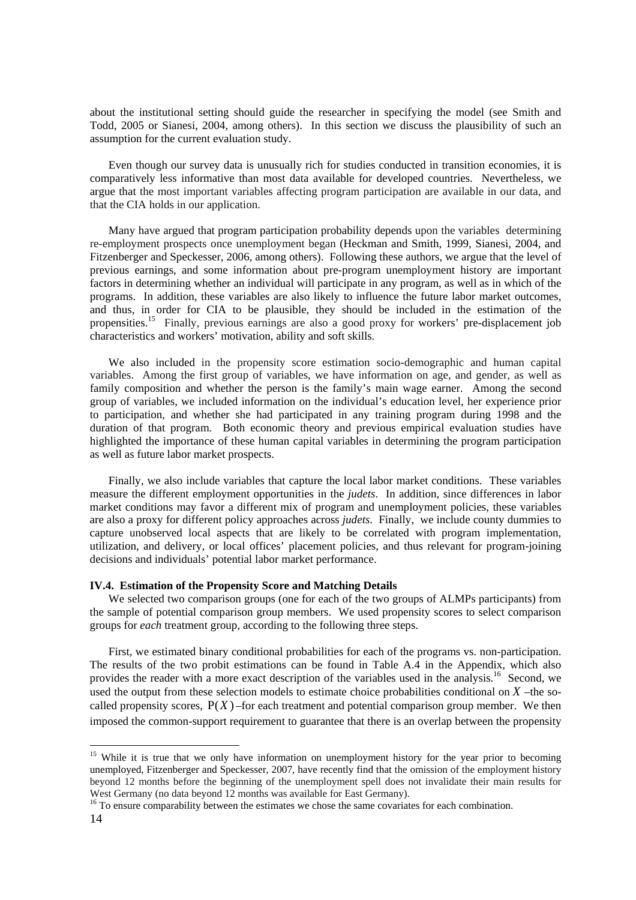about the institutional setting should guide the researcher in specifying the model (see Smith and Todd, 2005 or Sianesi, 2004, among others). In this section we discuss the plausibility of such an assumption for the current evaluation study.

Even though our survey data is unusually rich for studies conducted in transition economies, it is comparatively less informative than most data available for developed countries. Nevertheless, we argue that the most important variables affecting program participation are available in our data, and that the CIA holds in our application.

Many have argued that program participation probability depends upon the variables determining re-employment prospects once unemployment began (Heckman and Smith, 1999, Sianesi, 2004, and Fitzenberger and Speckesser, 2006, among others). Following these authors, we argue that the level of previous earnings, and some information about pre-program unemployment history are important factors in determining whether an individual will participate in any program, as well as in which of the programs. In addition, these variables are also likely to influence the future labor market outcomes, and thus, in order for CIA to be plausible, they should be included in the estimation of the propensities.15 Finally, previous earnings are also a good proxy for workers' pre-displacement job characteristics and workers' motivation, ability and soft skills.

We also included in the propensity score estimation socio-demographic and human capital variables. Among the first group of variables, we have information on age, and gender, as well as family composition and whether the person is the family's main wage earner. Among the second group of variables, we included information on the individual's education level, her experience prior to participation, and whether she had participated in any training program during 1998 and the duration of that program. Both economic theory and previous empirical evaluation studies have highlighted the importance of these human capital variables in determining the program participation as well as future labor market prospects.

Finally, we also include variables that capture the local labor market conditions. These variables measure the different employment opportunities in the *judets*. In addition, since differences in labor market conditions may favor a different mix of program and unemployment policies, these variables are also a proxy for different policy approaches across *judets*. Finally, we include county dummies to capture unobserved local aspects that are likely to be correlated with program implementation, utilization, and delivery, or local offices' placement policies, and thus relevant for program-joining decisions and individuals' potential labor market performance.

#### **IV.4. Estimation of the Propensity Score and Matching Details**

We selected two comparison groups (one for each of the two groups of ALMPs participants) from the sample of potential comparison group members. We used propensity scores to select comparison groups for *each* treatment group, according to the following three steps.

First, we estimated binary conditional probabilities for each of the programs vs. non-participation. The results of the two probit estimations can be found in Table A.4 in the Appendix, which also provides the reader with a more exact description of the variables used in the analysis.<sup>16</sup> Second, we used the output from these selection models to estimate choice probabilities conditional on *X* –the socalled propensity scores,  $P(X)$  –for each treatment and potential comparison group member. We then imposed the common-support requirement to guarantee that there is an overlap between the propensity

<sup>&</sup>lt;sup>15</sup> While it is true that we only have information on unemployment history for the year prior to becoming unemployed, Fitzenberger and Speckesser, 2007, have recently find that the omission of the employment history beyond 12 months before the beginning of the unemployment spell does not invalidate their main results for West Germany (no data beyond 12 months was available for East Germany).

 $^{16}$  To ensure comparability between the estimates we chose the same covariates for each combination.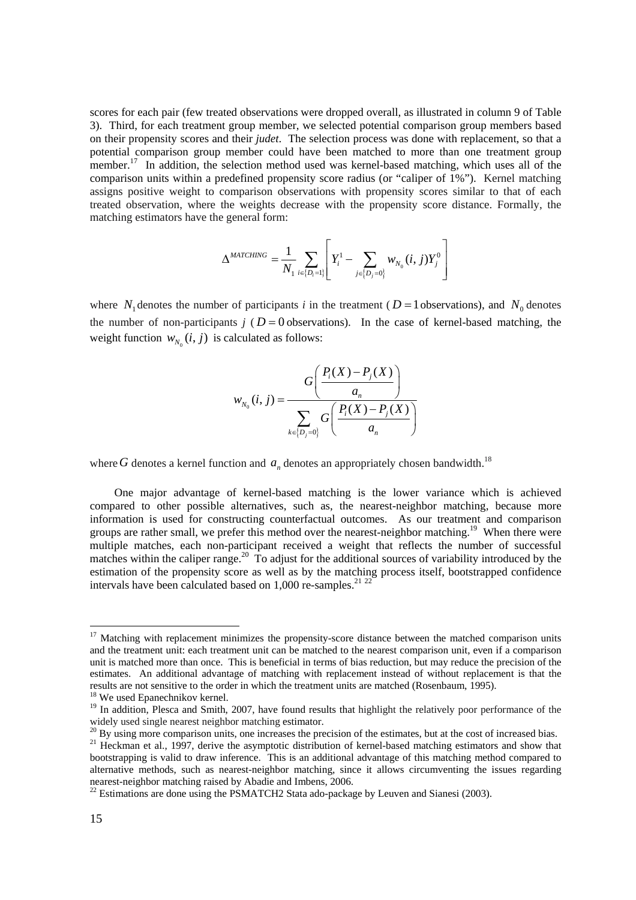scores for each pair (few treated observations were dropped overall, as illustrated in column 9 of Table 3). Third, for each treatment group member, we selected potential comparison group members based on their propensity scores and their *judet*. The selection process was done with replacement, so that a potential comparison group member could have been matched to more than one treatment group member.<sup>17</sup> In addition, the selection method used was kernel-based matching, which uses all of the comparison units within a predefined propensity score radius (or "caliper of 1%"). Kernel matching assigns positive weight to comparison observations with propensity scores similar to that of each treated observation, where the weights decrease with the propensity score distance. Formally, the matching estimators have the general form:

$$
\Delta^{MATCHING} = \frac{1}{N_1} \sum_{i \in \{D_i = 1\}} \left[ Y_i^1 - \sum_{j \in \{D_j = 0\}} w_{N_0}(i, j) Y_j^0 \right]
$$

where  $N_1$  denotes the number of participants *i* in the treatment ( $D = 1$  observations), and  $N_0$  denotes the number of non-participants  $j$  ( $D = 0$  observations). In the case of kernel-based matching, the weight function  $w_{N_0}(i, j)$  is calculated as follows:

$$
w_{N_0}(i, j) = \frac{G\left(\frac{P_i(X) - P_j(X)}{a_n}\right)}{\sum_{k \in \{D_j = 0\}} G\left(\frac{P_i(X) - P_j(X)}{a_n}\right)}
$$

where G denotes a kernel function and  $a_n$  denotes an appropriately chosen bandwidth.<sup>18</sup>

 One major advantage of kernel-based matching is the lower variance which is achieved compared to other possible alternatives, such as, the nearest-neighbor matching, because more information is used for constructing counterfactual outcomes. As our treatment and comparison groups are rather small, we prefer this method over the nearest-neighbor matching.<sup>19</sup> When there were multiple matches, each non-participant received a weight that reflects the number of successful matches within the caliper range.<sup>20</sup> To adjust for the additional sources of variability introduced by the estimation of the propensity score as well as by the matching process itself, bootstrapped confidence intervals have been calculated based on  $1,000$  re-samples.<sup>21 22</sup>

l

 $17$  Matching with replacement minimizes the propensity-score distance between the matched comparison units and the treatment unit: each treatment unit can be matched to the nearest comparison unit, even if a comparison unit is matched more than once. This is beneficial in terms of bias reduction, but may reduce the precision of the estimates. An additional advantage of matching with replacement instead of without replacement is that the results are not sensitive to the order in which the treatment units are matched (Rosenbaum, 1995).

<sup>18</sup> We used Epanechnikov kernel.

<sup>&</sup>lt;sup>19</sup> In addition, Plesca and Smith, 2007, have found results that highlight the relatively poor performance of the widely used single nearest neighbor matching estimator.

 $^{20}$  By using more comparison units, one increases the precision of the estimates, but at the cost of increased bias.

<sup>&</sup>lt;sup>21</sup> Heckman et al., 1997, derive the asymptotic distribution of kernel-based matching estimators and show that bootstrapping is valid to draw inference. This is an additional advantage of this matching method compared to alternative methods, such as nearest-neighbor matching, since it allows circumventing the issues regarding nearest-neighbor matching raised by Abadie and Imbens, 2006.

<sup>&</sup>lt;sup>22</sup> Estimations are done using the PSMATCH2 Stata ado-package by Leuven and Sianesi (2003).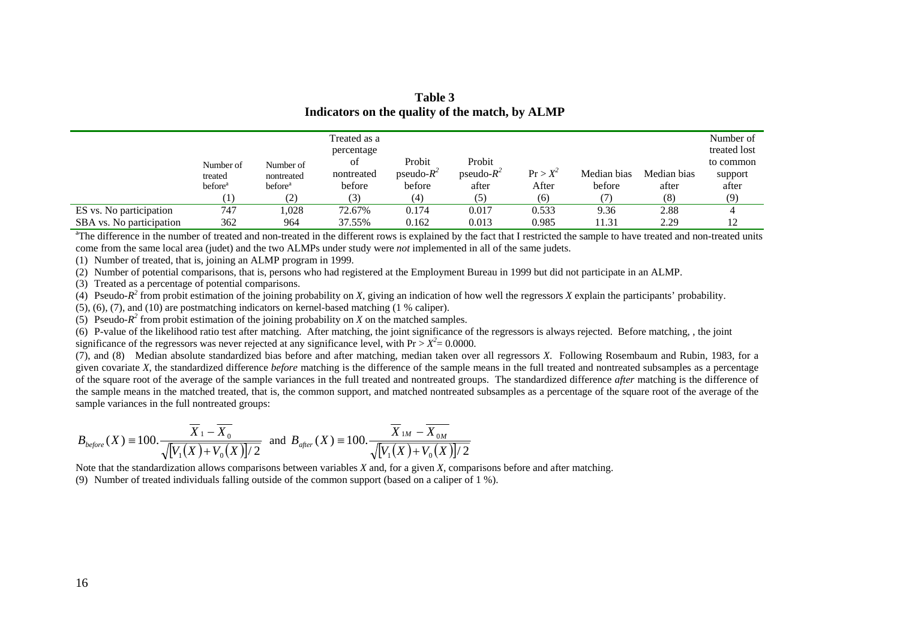|                          |                     |                     | Treated as a |               |               |            |             |             | Number of<br>treated lost |
|--------------------------|---------------------|---------------------|--------------|---------------|---------------|------------|-------------|-------------|---------------------------|
|                          |                     |                     | percentage   |               |               |            |             |             |                           |
|                          | Number of           | Number of           | οt           | Probit        | Probit        |            |             |             | to common                 |
|                          | treated             | nontreated          | nontreated   | pseudo- $R^2$ | pseudo- $R^2$ | $Pr > X^2$ | Median bias | Median bias | support                   |
|                          | before <sup>a</sup> | before <sup>a</sup> | before       | before        | after         | After      | before      | after       | after                     |
|                          |                     | (2)                 | (3)          | (4)           | (5)           | (6)        |             | (8)         | (9)                       |
| ES vs. No participation  | 747                 | ,028                | 72.67%       | 0.174         | 0.017         | 0.533      | 9.36        | 2.88        |                           |
| SBA vs. No participation | 362                 | 964                 | 37.55%       | 0.162         | 0.013         | 0.985      | 11.31       | 2.29        | 12                        |

**Table 3 Indicators on the quality of the match, by ALMP** 

<sup>a</sup>The difference in the number of treated and non-treated in the different rows is explained by the fact that I restricted the sample to have treated and non-treated units come from the same local area (judet) and the two ALMPs under study were *not* implemented in all of the same judets.

(1) Number of treated, that is, joining an ALMP program in 1999.

(2) Number of potential comparisons, that is, persons who had registered at the Employment Bureau in 1999 but did not participate in an ALMP.

(3) Treated as a percentage of potential comparisons.

(4) Pseudo- $R^2$  from probit estimation of the joining probability on *X*, giving an indication of how well the regressors *X* explain the participants' probability.

(5), (6), (7), and (10) are postmatching indicators on kernel-based matching (1 % caliper).

(5) Pseudo- $R^2$  from probit estimation of the joining probability on *X* on the matched samples.

 $(6)$  P-value of the likelihood ratio test after matching. After matching, the joint significance of the regressors is always rejected. Before matching, , the joint significance of the regressors was never rejected at any significance level, with  $Pr > X^2 = 0.0000$ .

(7), and (8) Median absolute standardized bias before and after matching, median taken over all regressors *X*. Following Rosembaum and Rubin, 1983, for a given covariate *X*, the standardized difference *before* matching is the difference of the sample means in the full treated and nontreated subsamples as a percentage of the square root of the average of the sample variances in the full treated and nontreated groups. The standardized difference *after* matching is the difference of the sample means in the matched treated, that is, the common support, and matched nontreated subsamples as a percentage of the square root of the average of the sample variances in the full nontreated groups:

$$
B_{before}(X) = 100. \frac{\overline{X}_1 - \overline{X}_0}{\sqrt{[V_1(X) + V_0(X)]/2}} \text{ and } B_{after}(X) = 100. \frac{\overline{X}_{1M} - \overline{X}_{0M}}{\sqrt{[V_1(X) + V_0(X)]/2}}
$$

Note that the standardization allows comparisons between variables *X* and, for a given *X*, comparisons before and after matching.

(9) Number of treated individuals falling outside of the common support (based on a caliper of 1 %).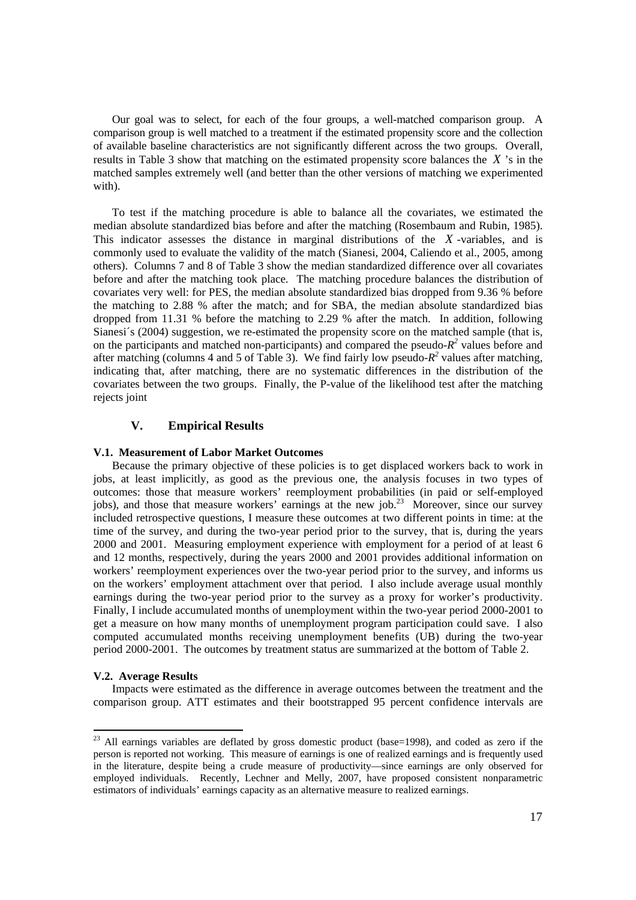Our goal was to select, for each of the four groups, a well-matched comparison group. A comparison group is well matched to a treatment if the estimated propensity score and the collection of available baseline characteristics are not significantly different across the two groups. Overall, results in Table 3 show that matching on the estimated propensity score balances the *X* 's in the matched samples extremely well (and better than the other versions of matching we experimented with).

To test if the matching procedure is able to balance all the covariates, we estimated the median absolute standardized bias before and after the matching (Rosembaum and Rubin, 1985). This indicator assesses the distance in marginal distributions of the *X* -variables, and is commonly used to evaluate the validity of the match (Sianesi, 2004, Caliendo et al., 2005, among others). Columns 7 and 8 of Table 3 show the median standardized difference over all covariates before and after the matching took place. The matching procedure balances the distribution of covariates very well: for PES, the median absolute standardized bias dropped from 9.36 % before the matching to 2.88 % after the match; and for SBA, the median absolute standardized bias dropped from 11.31 % before the matching to 2.29 % after the match. In addition, following Sianesi´s (2004) suggestion, we re-estimated the propensity score on the matched sample (that is, on the participants and matched non-participants) and compared the pseudo- $R^2$  values before and after matching (columns 4 and 5 of Table 3). We find fairly low pseudo-*R<sup>2</sup>* values after matching, indicating that, after matching, there are no systematic differences in the distribution of the covariates between the two groups. Finally, the P-value of the likelihood test after the matching rejects joint

## **V. Empirical Results**

#### **V.1. Measurement of Labor Market Outcomes**

Because the primary objective of these policies is to get displaced workers back to work in jobs, at least implicitly, as good as the previous one, the analysis focuses in two types of outcomes: those that measure workers' reemployment probabilities (in paid or self-employed jobs), and those that measure workers' earnings at the new job.<sup>23</sup> Moreover, since our survey included retrospective questions, I measure these outcomes at two different points in time: at the time of the survey, and during the two-year period prior to the survey, that is, during the years 2000 and 2001. Measuring employment experience with employment for a period of at least 6 and 12 months, respectively, during the years 2000 and 2001 provides additional information on workers' reemployment experiences over the two-year period prior to the survey, and informs us on the workers' employment attachment over that period. I also include average usual monthly earnings during the two-year period prior to the survey as a proxy for worker's productivity. Finally, I include accumulated months of unemployment within the two-year period 2000-2001 to get a measure on how many months of unemployment program participation could save. I also computed accumulated months receiving unemployment benefits (UB) during the two-year period 2000-2001. The outcomes by treatment status are summarized at the bottom of Table 2.

#### **V.2. Average Results**

 Impacts were estimated as the difference in average outcomes between the treatment and the comparison group. ATT estimates and their bootstrapped 95 percent confidence intervals are

 $^{23}$  All earnings variables are deflated by gross domestic product (base=1998), and coded as zero if the person is reported not working. This measure of earnings is one of realized earnings and is frequently used in the literature, despite being a crude measure of productivity—since earnings are only observed for employed individuals. Recently, Lechner and Melly, 2007, have proposed consistent nonparametric estimators of individuals' earnings capacity as an alternative measure to realized earnings.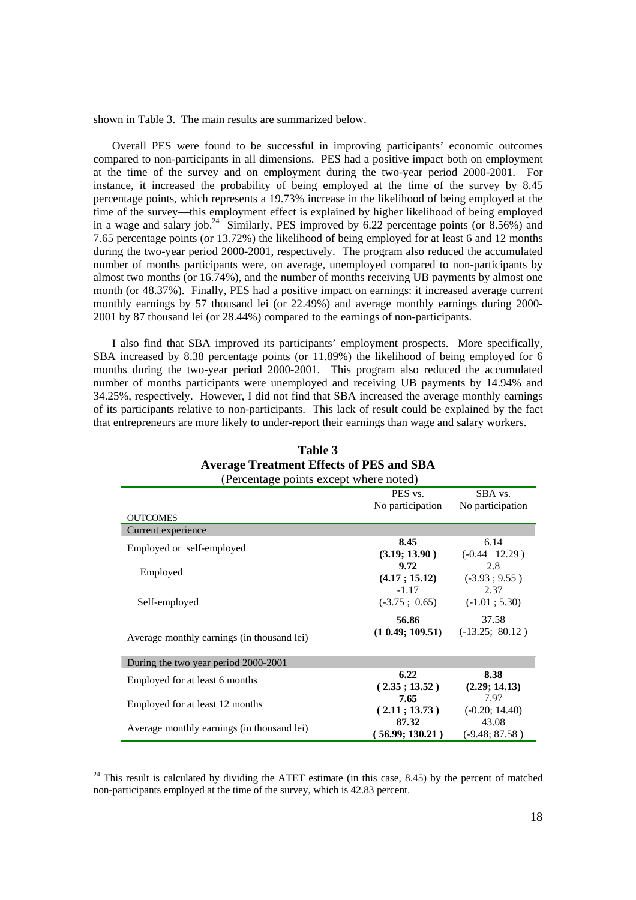shown in Table 3. The main results are summarized below.

 Overall PES were found to be successful in improving participants' economic outcomes compared to non-participants in all dimensions. PES had a positive impact both on employment at the time of the survey and on employment during the two-year period 2000-2001. For instance, it increased the probability of being employed at the time of the survey by 8.45 percentage points, which represents a 19.73% increase in the likelihood of being employed at the time of the survey—this employment effect is explained by higher likelihood of being employed in a wage and salary job.<sup>24</sup> Similarly, PES improved by 6.22 percentage points (or  $8.56\%$ ) and 7.65 percentage points (or 13.72%) the likelihood of being employed for at least 6 and 12 months during the two-year period 2000-2001, respectively. The program also reduced the accumulated number of months participants were, on average, unemployed compared to non-participants by almost two months (or 16.74%), and the number of months receiving UB payments by almost one month (or 48.37%). Finally, PES had a positive impact on earnings: it increased average current monthly earnings by 57 thousand lei (or 22.49%) and average monthly earnings during 2000- 2001 by 87 thousand lei (or 28.44%) compared to the earnings of non-participants.

 I also find that SBA improved its participants' employment prospects. More specifically, SBA increased by 8.38 percentage points (or 11.89%) the likelihood of being employed for 6 months during the two-year period 2000-2001. This program also reduced the accumulated number of months participants were unemployed and receiving UB payments by 14.94% and 34.25%, respectively. However, I did not find that SBA increased the average monthly earnings of its participants relative to non-participants. This lack of result could be explained by the fact that entrepreneurs are more likely to under-report their earnings than wage and salary workers.

| (Percentage points except where noted)     |                                   |                               |  |  |  |
|--------------------------------------------|-----------------------------------|-------------------------------|--|--|--|
|                                            | PES vs.<br>No participation       | SBA vs.<br>No participation   |  |  |  |
| <b>OUTCOMES</b>                            |                                   |                               |  |  |  |
| Current experience                         |                                   |                               |  |  |  |
| Employed or self-employed                  | 8.45<br>(3.19; 13.90)             | 6.14<br>$(-0.44 \quad 12.29)$ |  |  |  |
| Employed                                   | 9.72<br>(4.17; 15.12)             | 2.8<br>$(-3.93; 9.55)$        |  |  |  |
| Self-employed                              | $-1.17$<br>$(-3.75 \; ; \; 0.65)$ | 2.37<br>$(-1.01; 5.30)$       |  |  |  |
| Average monthly earnings (in thousand lei) | 56.86<br>$(1\ 0.49; 109.51)$      | 37.58<br>$(-13.25; 80.12)$    |  |  |  |
| During the two year period 2000-2001       |                                   |                               |  |  |  |
| Employed for at least 6 months             | 6.22<br>(2.35; 13.52)             | 8.38<br>(2.29; 14.13)         |  |  |  |
| Employed for at least 12 months            | 7.65<br>(2.11; 13.73)             | 7.97<br>$(-0.20; 14.40)$      |  |  |  |
| Average monthly earnings (in thousand lei) | 87.32<br>(56.99; 130.21)          | 43.08<br>$(-9.48; 87.58)$     |  |  |  |

| Table 3 |                                                 |  |  |  |  |  |
|---------|-------------------------------------------------|--|--|--|--|--|
|         | <b>Average Treatment Effects of PES and SBA</b> |  |  |  |  |  |
|         |                                                 |  |  |  |  |  |

 $24$  This result is calculated by dividing the ATET estimate (in this case, 8.45) by the percent of matched non-participants employed at the time of the survey, which is 42.83 percent.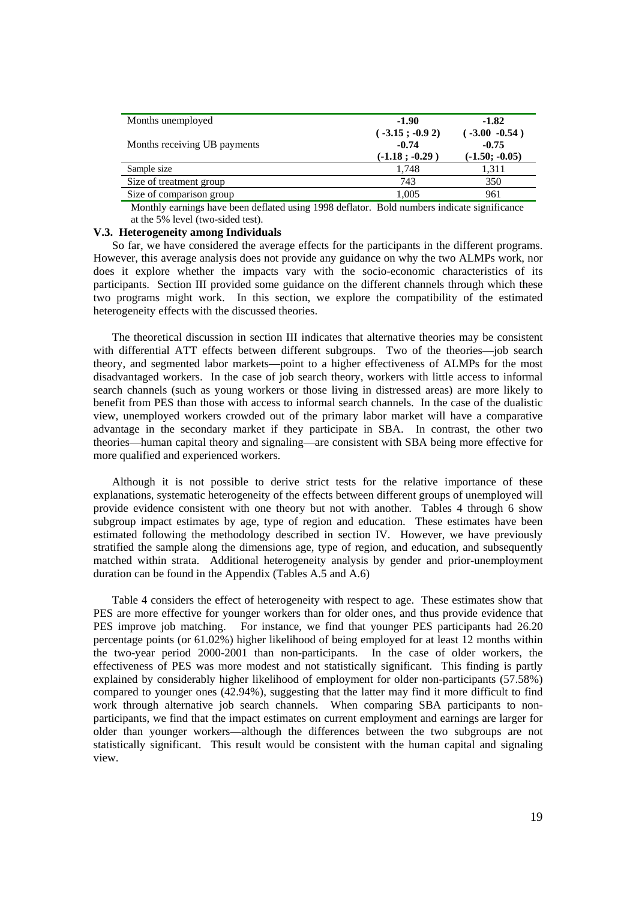| Months unemployed            | -1.90                                           | $-1.82$                                         |
|------------------------------|-------------------------------------------------|-------------------------------------------------|
| Months receiving UB payments | $(-3.15; -0.92)$<br>$-0.74$<br>$(-1.18; -0.29)$ | $(-3.00 - 0.54)$<br>$-0.75$<br>$(-1.50; -0.05)$ |
| Sample size                  | 1.748                                           | 1.311                                           |
| Size of treatment group      | 743                                             | 350                                             |
| Size of comparison group     | 1,005                                           | 961                                             |

Monthly earnings have been deflated using 1998 deflator. Bold numbers indicate significance at the 5% level (two-sided test).

#### **V.3. Heterogeneity among Individuals**

 So far, we have considered the average effects for the participants in the different programs. However, this average analysis does not provide any guidance on why the two ALMPs work, nor does it explore whether the impacts vary with the socio-economic characteristics of its participants. Section III provided some guidance on the different channels through which these two programs might work. In this section, we explore the compatibility of the estimated heterogeneity effects with the discussed theories.

 The theoretical discussion in section III indicates that alternative theories may be consistent with differential ATT effects between different subgroups. Two of the theories—job search theory, and segmented labor markets—point to a higher effectiveness of ALMPs for the most disadvantaged workers. In the case of job search theory, workers with little access to informal search channels (such as young workers or those living in distressed areas) are more likely to benefit from PES than those with access to informal search channels. In the case of the dualistic view, unemployed workers crowded out of the primary labor market will have a comparative advantage in the secondary market if they participate in SBA. In contrast, the other two theories—human capital theory and signaling—are consistent with SBA being more effective for more qualified and experienced workers.

 Although it is not possible to derive strict tests for the relative importance of these explanations, systematic heterogeneity of the effects between different groups of unemployed will provide evidence consistent with one theory but not with another. Tables 4 through 6 show subgroup impact estimates by age, type of region and education. These estimates have been estimated following the methodology described in section IV. However, we have previously stratified the sample along the dimensions age, type of region, and education, and subsequently matched within strata. Additional heterogeneity analysis by gender and prior-unemployment duration can be found in the Appendix (Tables A.5 and A.6)

 Table 4 considers the effect of heterogeneity with respect to age. These estimates show that PES are more effective for younger workers than for older ones, and thus provide evidence that PES improve job matching. For instance, we find that younger PES participants had 26.20 percentage points (or 61.02%) higher likelihood of being employed for at least 12 months within the two-year period 2000-2001 than non-participants. In the case of older workers, the effectiveness of PES was more modest and not statistically significant. This finding is partly explained by considerably higher likelihood of employment for older non-participants (57.58%) compared to younger ones (42.94%), suggesting that the latter may find it more difficult to find work through alternative job search channels. When comparing SBA participants to nonparticipants, we find that the impact estimates on current employment and earnings are larger for older than younger workers—although the differences between the two subgroups are not statistically significant. This result would be consistent with the human capital and signaling view.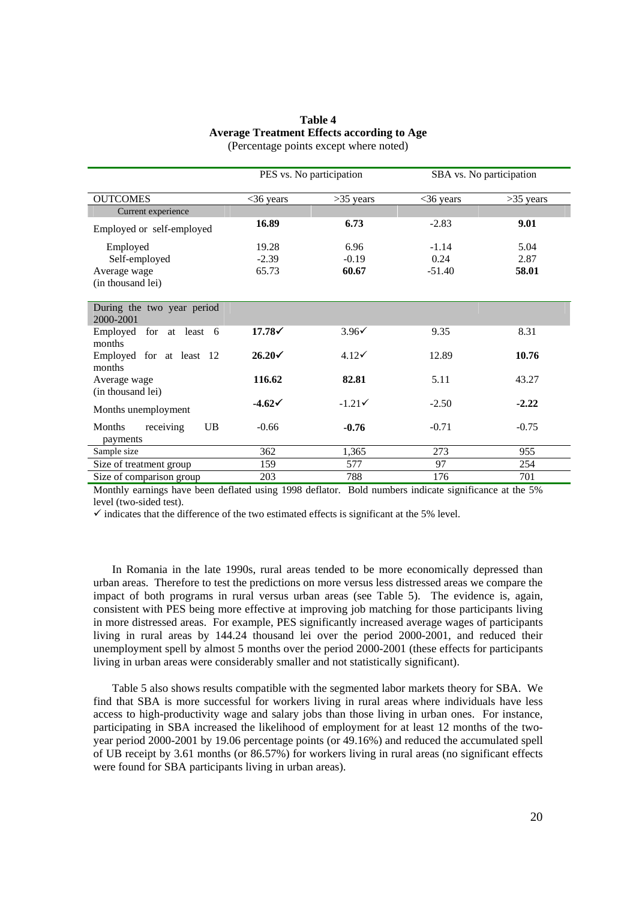| Table 4                                    |
|--------------------------------------------|
| Average Treatment Effects according to Age |
| (Percentage points except where noted)     |

|                                         | PES vs. No participation |                  |             | SBA vs. No participation |
|-----------------------------------------|--------------------------|------------------|-------------|--------------------------|
| <b>OUTCOMES</b>                         | $<36$ years              | $>35$ years      | $<36$ years | $>35$ years              |
| Current experience                      |                          |                  |             |                          |
| Employed or self-employed               | 16.89                    | 6.73             | $-2.83$     | 9.01                     |
| Employed                                | 19.28                    | 6.96             | $-1.14$     | 5.04                     |
| Self-employed                           | $-2.39$                  | $-0.19$          | 0.24        | 2.87                     |
| Average wage                            | 65.73                    | 60.67            | $-51.40$    | 58.01                    |
| (in thousand lei)                       |                          |                  |             |                          |
| During the two year period<br>2000-2001 |                          |                  |             |                          |
| Employed for at least 6<br>months       | $17.78\checkmark$        | $3.96\check{v}$  | 9.35        | 8.31                     |
| Employed for at least 12<br>months      | $26.20\checkmark$        | $4.12\checkmark$ | 12.89       | 10.76                    |
| Average wage<br>(in thousand lei)       | 116.62                   | 82.81            | 5.11        | 43.27                    |
| Months unemployment                     | $-4.62\sqrt{ }$          | $-1.21$          | $-2.50$     | $-2.22$                  |
| Months<br>receiving<br>UB               | $-0.66$                  | $-0.76$          | $-0.71$     | $-0.75$                  |
| payments                                |                          |                  |             |                          |
| Sample size                             | 362                      | 1,365            | 273         | 955                      |
| Size of treatment group                 | 159                      | 577              | 97          | 254                      |
| Size of comparison group                | 203                      | 788              | 176         | 701                      |

Monthly earnings have been deflated using 1998 deflator. Bold numbers indicate significance at the 5% level (two-sided test).

 $\checkmark$  indicates that the difference of the two estimated effects is significant at the 5% level.

 In Romania in the late 1990s, rural areas tended to be more economically depressed than urban areas. Therefore to test the predictions on more versus less distressed areas we compare the impact of both programs in rural versus urban areas (see Table 5). The evidence is, again, consistent with PES being more effective at improving job matching for those participants living in more distressed areas. For example, PES significantly increased average wages of participants living in rural areas by 144.24 thousand lei over the period 2000-2001, and reduced their unemployment spell by almost 5 months over the period 2000-2001 (these effects for participants living in urban areas were considerably smaller and not statistically significant).

Table 5 also shows results compatible with the segmented labor markets theory for SBA. We find that SBA is more successful for workers living in rural areas where individuals have less access to high-productivity wage and salary jobs than those living in urban ones. For instance, participating in SBA increased the likelihood of employment for at least 12 months of the twoyear period 2000-2001 by 19.06 percentage points (or 49.16%) and reduced the accumulated spell of UB receipt by 3.61 months (or 86.57%) for workers living in rural areas (no significant effects were found for SBA participants living in urban areas).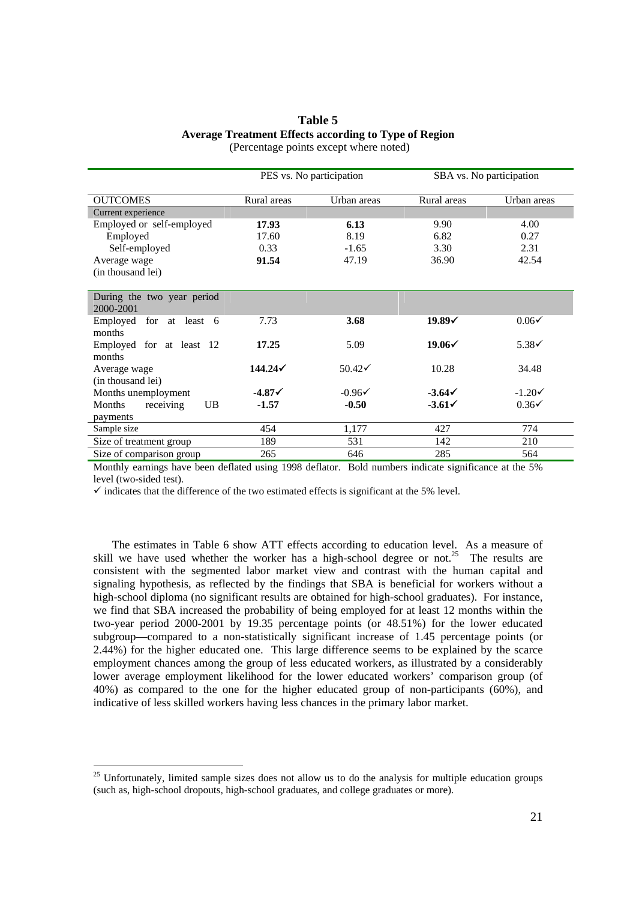## **Table 5 Average Treatment Effects according to Type of Region**

|                                         | PES vs. No participation |                   | SBA vs. No participation |                   |
|-----------------------------------------|--------------------------|-------------------|--------------------------|-------------------|
| <b>OUTCOMES</b>                         | Rural areas              | Urban areas       | Rural areas              | Urban areas       |
| Current experience                      |                          |                   |                          |                   |
| Employed or self-employed               | 17.93                    | 6.13              | 9.90                     | 4.00              |
| Employed                                | 17.60                    | 8.19              | 6.82                     | 0.27              |
| Self-employed                           | 0.33                     | $-1.65$           | 3.30                     | 2.31              |
| Average wage                            | 91.54                    | 47.19             | 36.90                    | 42.54             |
| (in thousand lei)                       |                          |                   |                          |                   |
|                                         |                          |                   |                          |                   |
| During the two year period<br>2000-2001 |                          |                   |                          |                   |
| for at least 6<br>Employed<br>months    | 7.73                     | 3.68              | $19.89\checkmark$        | $0.06\checkmark$  |
| Employed for at least 12<br>months      | 17.25                    | 5.09              | $19.06\checkmark$        | $5.38\checkmark$  |
| Average wage<br>(in thousand lei)       |                          | $50.42\checkmark$ | 10.28                    | 34.48             |
| Months unemployment                     | $-4.87\checkmark$        | $-0.96\checkmark$ | $-3.642$                 | $-1.20\checkmark$ |
| Months<br>UB<br>receiving               | $-1.57$                  | $-0.50$           | $-3.61\checkmark$        | $0.36\checkmark$  |
| payments                                |                          |                   |                          |                   |
| Sample size                             | 454                      | 1,177             | 427                      | 774               |
| Size of treatment group                 | 189                      | 531               | 142                      | 210               |
| Size of comparison group                | 265                      | 646               | 285                      | 564               |
|                                         |                          |                   |                          |                   |

(Percentage points except where noted)

Monthly earnings have been deflated using 1998 deflator. Bold numbers indicate significance at the 5% level (two-sided test).

 $\checkmark$  indicates that the difference of the two estimated effects is significant at the 5% level.

 The estimates in Table 6 show ATT effects according to education level. As a measure of skill we have used whether the worker has a high-school degree or not.<sup>25</sup> The results are consistent with the segmented labor market view and contrast with the human capital and signaling hypothesis, as reflected by the findings that SBA is beneficial for workers without a high-school diploma (no significant results are obtained for high-school graduates). For instance, we find that SBA increased the probability of being employed for at least 12 months within the two-year period 2000-2001 by 19.35 percentage points (or 48.51%) for the lower educated subgroup—compared to a non-statistically significant increase of 1.45 percentage points (or 2.44%) for the higher educated one. This large difference seems to be explained by the scarce employment chances among the group of less educated workers, as illustrated by a considerably lower average employment likelihood for the lower educated workers' comparison group (of 40%) as compared to the one for the higher educated group of non-participants (60%), and indicative of less skilled workers having less chances in the primary labor market.

 $25$  Unfortunately, limited sample sizes does not allow us to do the analysis for multiple education groups (such as, high-school dropouts, high-school graduates, and college graduates or more).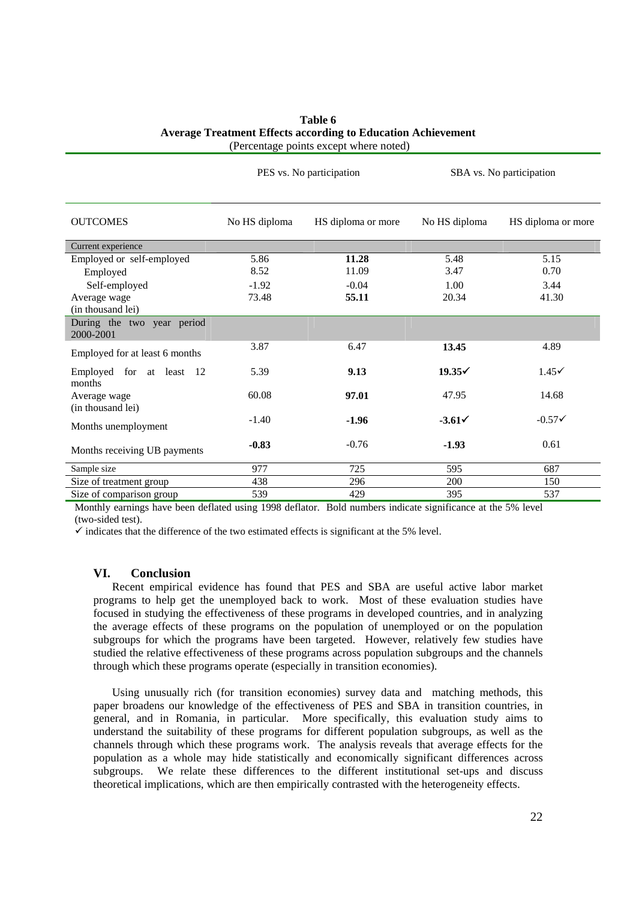| Table 6                                                             |
|---------------------------------------------------------------------|
| <b>Average Treatment Effects according to Education Achievement</b> |
| (Percentage points except where noted)                              |

PES vs. No participation SBA vs. No participation

| <b>OUTCOMES</b>                         | No HS diploma | HS diploma or more | No HS diploma     | HS diploma or more |
|-----------------------------------------|---------------|--------------------|-------------------|--------------------|
| Current experience                      |               |                    |                   |                    |
| Employed or self-employed               | 5.86          | 11.28              | 5.48              | 5.15               |
| Employed                                | 8.52          | 11.09              | 3.47              | 0.70               |
| Self-employed                           | $-1.92$       | $-0.04$            | 1.00              | 3.44               |
| Average wage                            | 73.48         | 55.11              | 20.34             | 41.30              |
| (in thousand lei)                       |               |                    |                   |                    |
| During the two year period<br>2000-2001 |               |                    |                   |                    |
| Employed for at least 6 months          | 3.87          | 6.47               | 13.45             | 4.89               |
| Employed for at least 12<br>months      | 5.39          | 9.13               | $19.35\checkmark$ | $1.45\checkmark$   |
| Average wage<br>(in thousand lei)       | 60.08         | 97.01              | 47.95             | 14.68              |
| Months unemployment                     | $-1.40$       | $-1.96$            | $-3.61\checkmark$ | $-0.57\checkmark$  |
| Months receiving UB payments            | $-0.83$       | $-0.76$            | $-1.93$           | 0.61               |
| Sample size                             | 977           | 725                | 595               | 687                |
| Size of treatment group                 | 438           | 296                | <b>200</b>        | 150                |
| Size of comparison group                | 539           | 429                | 395               | 537                |

Monthly earnings have been deflated using 1998 deflator. Bold numbers indicate significance at the 5% level (two-sided test).

 $\checkmark$  indicates that the difference of the two estimated effects is significant at the 5% level.

#### **VI. Conclusion**

Recent empirical evidence has found that PES and SBA are useful active labor market programs to help get the unemployed back to work. Most of these evaluation studies have focused in studying the effectiveness of these programs in developed countries, and in analyzing the average effects of these programs on the population of unemployed or on the population subgroups for which the programs have been targeted. However, relatively few studies have studied the relative effectiveness of these programs across population subgroups and the channels through which these programs operate (especially in transition economies).

 Using unusually rich (for transition economies) survey data and matching methods, this paper broadens our knowledge of the effectiveness of PES and SBA in transition countries, in general, and in Romania, in particular. More specifically, this evaluation study aims to understand the suitability of these programs for different population subgroups, as well as the channels through which these programs work. The analysis reveals that average effects for the population as a whole may hide statistically and economically significant differences across subgroups. We relate these differences to the different institutional set-ups and discuss theoretical implications, which are then empirically contrasted with the heterogeneity effects.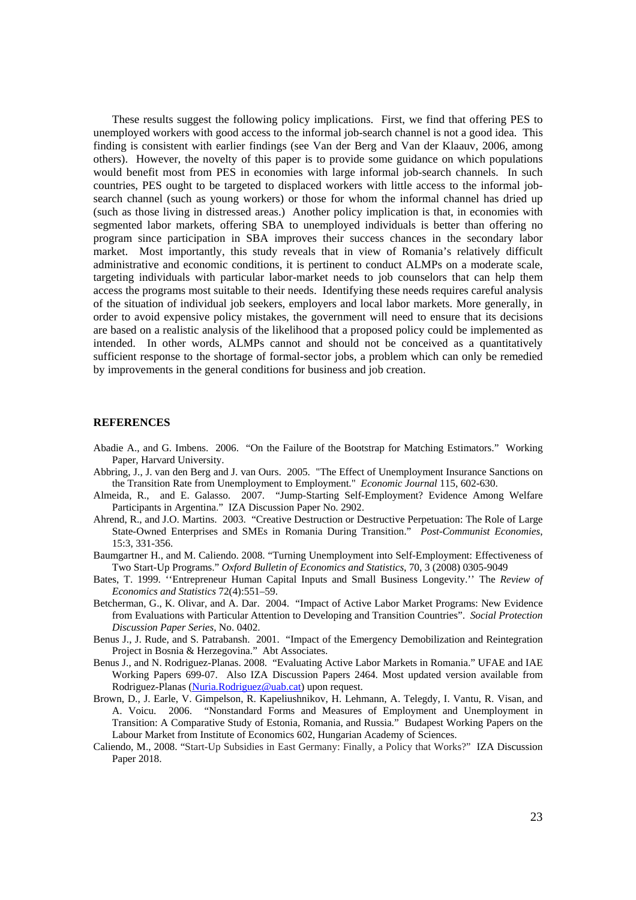These results suggest the following policy implications. First, we find that offering PES to unemployed workers with good access to the informal job-search channel is not a good idea. This finding is consistent with earlier findings (see Van der Berg and Van der Klaauv, 2006, among others). However, the novelty of this paper is to provide some guidance on which populations would benefit most from PES in economies with large informal job-search channels. In such countries, PES ought to be targeted to displaced workers with little access to the informal jobsearch channel (such as young workers) or those for whom the informal channel has dried up (such as those living in distressed areas.) Another policy implication is that, in economies with segmented labor markets, offering SBA to unemployed individuals is better than offering no program since participation in SBA improves their success chances in the secondary labor market. Most importantly, this study reveals that in view of Romania's relatively difficult administrative and economic conditions, it is pertinent to conduct ALMPs on a moderate scale, targeting individuals with particular labor-market needs to job counselors that can help them access the programs most suitable to their needs. Identifying these needs requires careful analysis of the situation of individual job seekers, employers and local labor markets. More generally, in order to avoid expensive policy mistakes, the government will need to ensure that its decisions are based on a realistic analysis of the likelihood that a proposed policy could be implemented as intended. In other words, ALMPs cannot and should not be conceived as a quantitatively sufficient response to the shortage of formal-sector jobs, a problem which can only be remedied by improvements in the general conditions for business and job creation.

#### **REFERENCES**

- Abadie A., and G. Imbens. 2006. "On the Failure of the Bootstrap for Matching Estimators." Working Paper, Harvard University.
- Abbring, J., J. van den Berg and J. van Ours. 2005. "The Effect of Unemployment Insurance Sanctions on the Transition Rate from Unemployment to Employment." *Economic Journal* 115, 602-630.
- Almeida, R., and E. Galasso. 2007. "Jump-Starting Self-Employment? Evidence Among Welfare Participants in Argentina." IZA Discussion Paper No. 2902.
- Ahrend, R., and J.O. Martins. 2003. "Creative Destruction or Destructive Perpetuation: The Role of Large State-Owned Enterprises and SMEs in Romania During Transition." *Post-Communist Economies*, 15:3, 331-356.
- Baumgartner H., and M. Caliendo. 2008. "Turning Unemployment into Self-Employment: Effectiveness of Two Start-Up Programs." *Oxford Bulletin of Economics and Statistics*, 70, 3 (2008) 0305-9049
- Bates, T. 1999. ''Entrepreneur Human Capital Inputs and Small Business Longevity.'' The *Review of Economics and Statistics* 72(4):551–59.
- Betcherman, G., K. Olivar, and A. Dar. 2004. "Impact of Active Labor Market Programs: New Evidence from Evaluations with Particular Attention to Developing and Transition Countries". *Social Protection Discussion Paper Series*, No. 0402.
- Benus J., J. Rude, and S. Patrabansh. 2001. "Impact of the Emergency Demobilization and Reintegration Project in Bosnia & Herzegovina." Abt Associates.
- Benus J., and N. Rodriguez-Planas. 2008. "Evaluating Active Labor Markets in Romania." UFAE and IAE Working Papers 699-07. Also IZA Discussion Papers 2464. Most updated version available from Rodriguez-Planas (Nuria.Rodriguez@uab.cat) upon request.
- Brown, D., J. Earle, V. Gimpelson, R. Kapeliushnikov, H. Lehmann, A. Telegdy, I. Vantu, R. Visan, and A. Voicu. 2006. "Nonstandard Forms and Measures of Employment and Unemployment in Transition: A Comparative Study of Estonia, Romania, and Russia." Budapest Working Papers on the Labour Market from Institute of Economics 602, Hungarian Academy of Sciences.
- Caliendo, M., 2008. "Start-Up Subsidies in East Germany: Finally, a Policy that Works?" IZA Discussion Paper 2018.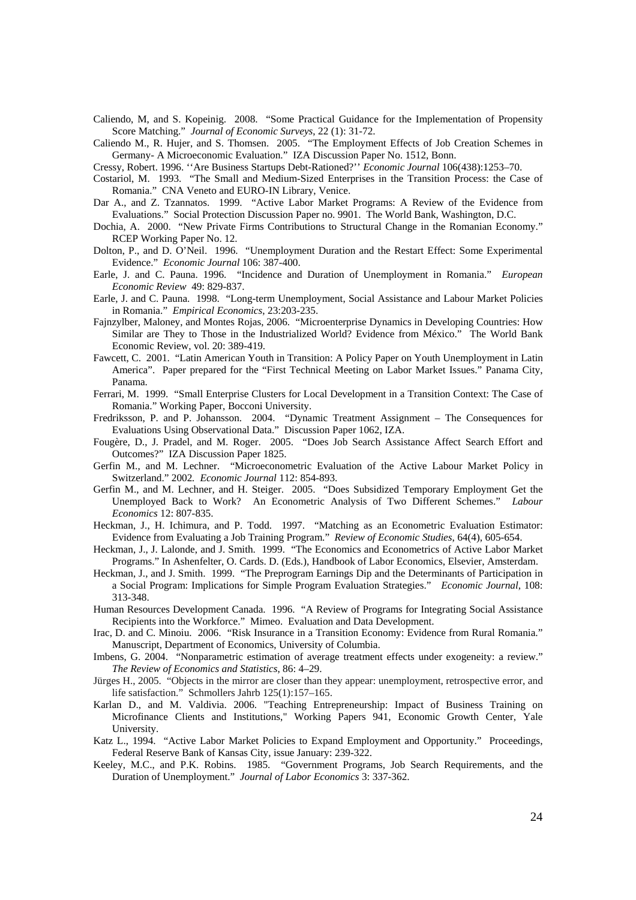- Caliendo, M, and S. Kopeinig. 2008. "Some Practical Guidance for the Implementation of Propensity Score Matching." *Journal of Economic Surveys*, 22 (1): 31-72.
- Caliendo M., R. Hujer, and S. Thomsen. 2005. "The Employment Effects of Job Creation Schemes in Germany- A Microeconomic Evaluation." IZA Discussion Paper No. 1512, Bonn.
- Cressy, Robert. 1996. ''Are Business Startups Debt-Rationed?'' *Economic Journal* 106(438):1253–70.
- Costariol, M. 1993. "The Small and Medium-Sized Enterprises in the Transition Process: the Case of Romania." CNA Veneto and EURO-IN Library, Venice.
- Dar A., and Z. Tzannatos. 1999. "Active Labor Market Programs: A Review of the Evidence from Evaluations." Social Protection Discussion Paper no. 9901. The World Bank, Washington, D.C.
- Dochia, A. 2000. "New Private Firms Contributions to Structural Change in the Romanian Economy." RCEP Working Paper No. 12.
- Dolton, P., and D. O'Neil. 1996. "Unemployment Duration and the Restart Effect: Some Experimental Evidence." *Economic Journal* 106: 387-400.
- Earle, J. and C. Pauna. 1996. "Incidence and Duration of Unemployment in Romania." *European Economic Review* 49: 829-837.
- Earle, J. and C. Pauna. 1998. "Long-term Unemployment, Social Assistance and Labour Market Policies in Romania." *Empirical Economics*, 23:203-235.
- Fajnzylber, Maloney, and Montes Rojas, 2006. "Microenterprise Dynamics in Developing Countries: How Similar are They to Those in the Industrialized World? Evidence from México." The World Bank Economic Review, vol. 20: 389-419.
- Fawcett, C. 2001. "Latin American Youth in Transition: A Policy Paper on Youth Unemployment in Latin America". Paper prepared for the "First Technical Meeting on Labor Market Issues." Panama City, Panama.
- Ferrari, M. 1999. "Small Enterprise Clusters for Local Development in a Transition Context: The Case of Romania." Working Paper, Bocconi University.
- Fredriksson, P. and P. Johansson. 2004. "Dynamic Treatment Assignment The Consequences for Evaluations Using Observational Data." Discussion Paper 1062, IZA.
- Fougère, D., J. Pradel, and M. Roger. 2005. "Does Job Search Assistance Affect Search Effort and Outcomes?" IZA Discussion Paper 1825.
- Gerfin M., and M. Lechner. "Microeconometric Evaluation of the Active Labour Market Policy in Switzerland." 2002*. Economic Journal* 112: 854-893.
- Gerfin M., and M. Lechner, and H. Steiger. 2005. "Does Subsidized Temporary Employment Get the Unemployed Back to Work? An Econometric Analysis of Two Different Schemes." *Labour Economics* 12: 807-835.
- Heckman, J., H. Ichimura, and P. Todd. 1997. "Matching as an Econometric Evaluation Estimator: Evidence from Evaluating a Job Training Program." *Review of Economic Studies*, 64(4), 605-654.
- Heckman, J., J. Lalonde, and J. Smith. 1999. "The Economics and Econometrics of Active Labor Market Programs." In Ashenfelter, O. Cards. D. (Eds.), Handbook of Labor Economics, Elsevier, Amsterdam.
- Heckman, J., and J. Smith. 1999. "The Preprogram Earnings Dip and the Determinants of Participation in a Social Program: Implications for Simple Program Evaluation Strategies." *Economic Journal*, 108: 313-348.
- Human Resources Development Canada. 1996. "A Review of Programs for Integrating Social Assistance Recipients into the Workforce." Mimeo. Evaluation and Data Development.
- Irac, D. and C. Minoiu. 2006. "Risk Insurance in a Transition Economy: Evidence from Rural Romania." Manuscript, Department of Economics, University of Columbia.
- Imbens, G. 2004. "Nonparametric estimation of average treatment effects under exogeneity: a review." *The Review of Economics and Statistics*, 86: 4–29.
- Jürges H., 2005. "Objects in the mirror are closer than they appear: unemployment, retrospective error, and life satisfaction." Schmollers Jahrb 125(1):157–165.
- Karlan D., and M. Valdivia. 2006. "Teaching Entrepreneurship: Impact of Business Training on Microfinance Clients and Institutions," Working Papers 941, Economic Growth Center, Yale University.
- Katz L., 1994. "Active Labor Market Policies to Expand Employment and Opportunity." Proceedings, Federal Reserve Bank of Kansas City, issue January: 239-322.
- Keeley, M.C., and P.K. Robins. 1985. "Government Programs, Job Search Requirements, and the Duration of Unemployment." *Journal of Labor Economics* 3: 337-362.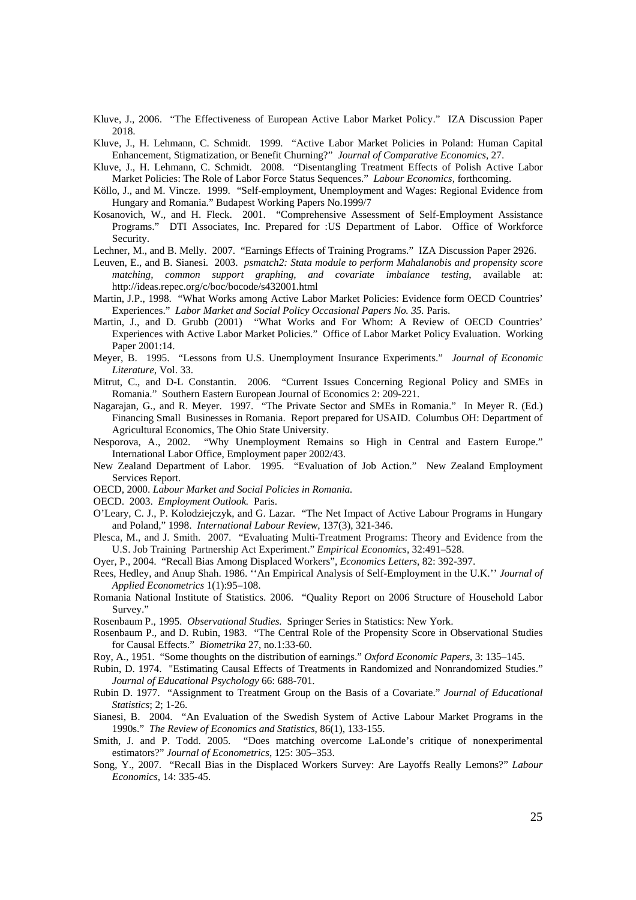- Kluve, J., 2006. "The Effectiveness of European Active Labor Market Policy." IZA Discussion Paper 2018.
- Kluve, J., H. Lehmann, C. Schmidt. 1999. "Active Labor Market Policies in Poland: Human Capital Enhancement, Stigmatization, or Benefit Churning?" *Journal of Comparative Economics*, 27.
- Kluve, J., H. Lehmann, C. Schmidt. 2008. "Disentangling Treatment Effects of Polish Active Labor Market Policies: The Role of Labor Force Status Sequences." *Labour Economics*, forthcoming.
- Köllo, J., and M. Vincze. 1999. "Self-employment, Unemployment and Wages: Regional Evidence from Hungary and Romania." Budapest Working Papers No.1999/7
- Kosanovich, W., and H. Fleck. 2001. "Comprehensive Assessment of Self-Employment Assistance Programs." DTI Associates, Inc. Prepared for :US Department of Labor. Office of Workforce Security.
- Lechner, M., and B. Melly. 2007. "Earnings Effects of Training Programs." IZA Discussion Paper 2926.
- Leuven, E., and B. Sianesi. 2003. *psmatch2: Stata module to perform Mahalanobis and propensity score matching, common support graphing, and covariate imbalance testing*, available at: http://ideas.repec.org/c/boc/bocode/s432001.html
- Martin, J.P., 1998. "What Works among Active Labor Market Policies: Evidence form OECD Countries' Experiences." *Labor Market and Social Policy Occasional Papers No. 35.* Paris.
- Martin, J., and D. Grubb (2001) "What Works and For Whom: A Review of OECD Countries' Experiences with Active Labor Market Policies." Office of Labor Market Policy Evaluation. Working Paper 2001:14.
- Meyer, B. 1995. "Lessons from U.S. Unemployment Insurance Experiments." *Journal of Economic Literature*, Vol. 33.
- Mitrut, C., and D-L Constantin. 2006. "Current Issues Concerning Regional Policy and SMEs in Romania." Southern Eastern European Journal of Economics 2: 209-221.
- Nagarajan, G., and R. Meyer. 1997. "The Private Sector and SMEs in Romania." In Meyer R. (Ed.) Financing Small Businesses in Romania. Report prepared for USAID. Columbus OH: Department of Agricultural Economics, The Ohio State University.
- Nesporova, A., 2002. "Why Unemployment Remains so High in Central and Eastern Europe." International Labor Office, Employment paper 2002/43.
- New Zealand Department of Labor. 1995. "Evaluation of Job Action." New Zealand Employment Services Report.
- OECD, 2000. *Labour Market and Social Policies in Romania.*
- OECD. 2003. *Employment Outlook.* Paris.
- O'Leary, C. J., P. Kolodziejczyk, and G. Lazar. "The Net Impact of Active Labour Programs in Hungary and Poland," 1998. *International Labour Review*, 137(3), 321-346.
- Plesca, M., and J. Smith. 2007. "Evaluating Multi-Treatment Programs: Theory and Evidence from the U.S. Job Training Partnership Act Experiment." *Empirical Economics*, 32:491–528.
- Oyer, P., 2004. "Recall Bias Among Displaced Workers", *Economics Letters*, 82: 392-397.
- Rees, Hedley, and Anup Shah. 1986. ''An Empirical Analysis of Self-Employment in the U.K.'' *Journal of Applied Econometrics* 1(1):95–108.
- Romania National Institute of Statistics. 2006. "Quality Report on 2006 Structure of Household Labor Survey."
- Rosenbaum P., 1995. *Observational Studies.* Springer Series in Statistics: New York.
- Rosenbaum P., and D. Rubin, 1983. "The Central Role of the Propensity Score in Observational Studies for Causal Effects." *Biometrika* 27, no.1:33-60.
- Roy, A., 1951. "Some thoughts on the distribution of earnings." *Oxford Economic Papers*, 3: 135–145.
- Rubin, D. 1974. "Estimating Causal Effects of Treatments in Randomized and Nonrandomized Studies." *Journal of Educational Psychology* 66: 688-701.
- Rubin D. 1977. "Assignment to Treatment Group on the Basis of a Covariate." *Journal of Educational Statistics*; 2; 1-26.
- Sianesi, B. 2004. "An Evaluation of the Swedish System of Active Labour Market Programs in the 1990s." *The Review of Economics and Statistics*, 86(1), 133-155.
- Smith, J. and P. Todd. 2005. "Does matching overcome LaLonde's critique of nonexperimental estimators?" *Journal of Econometrics*, 125: 305–353.
- Song, Y., 2007. "Recall Bias in the Displaced Workers Survey: Are Layoffs Really Lemons?" *Labour Economics,* 14: 335-45.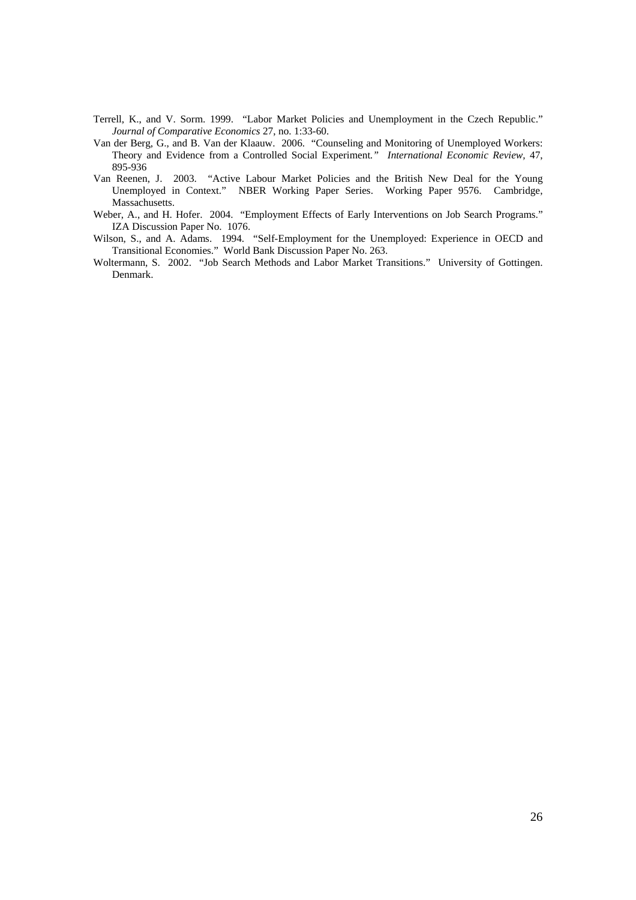- Terrell, K., and V. Sorm. 1999. "Labor Market Policies and Unemployment in the Czech Republic." *Journal of Comparative Economics* 27, no. 1:33-60.
- Van der Berg, G., and B. Van der Klaauw. 2006. "Counseling and Monitoring of Unemployed Workers: Theory and Evidence from a Controlled Social Experiment*." International Economic Review,* 47, 895-936
- Van Reenen, J. 2003. "Active Labour Market Policies and the British New Deal for the Young Unemployed in Context." NBER Working Paper Series. Working Paper 9576. Cambridge, Massachusetts.
- Weber, A., and H. Hofer. 2004. "Employment Effects of Early Interventions on Job Search Programs." IZA Discussion Paper No. 1076.
- Wilson, S., and A. Adams. 1994. "Self-Employment for the Unemployed: Experience in OECD and Transitional Economies." World Bank Discussion Paper No. 263.
- Woltermann, S. 2002. "Job Search Methods and Labor Market Transitions." University of Gottingen. Denmark.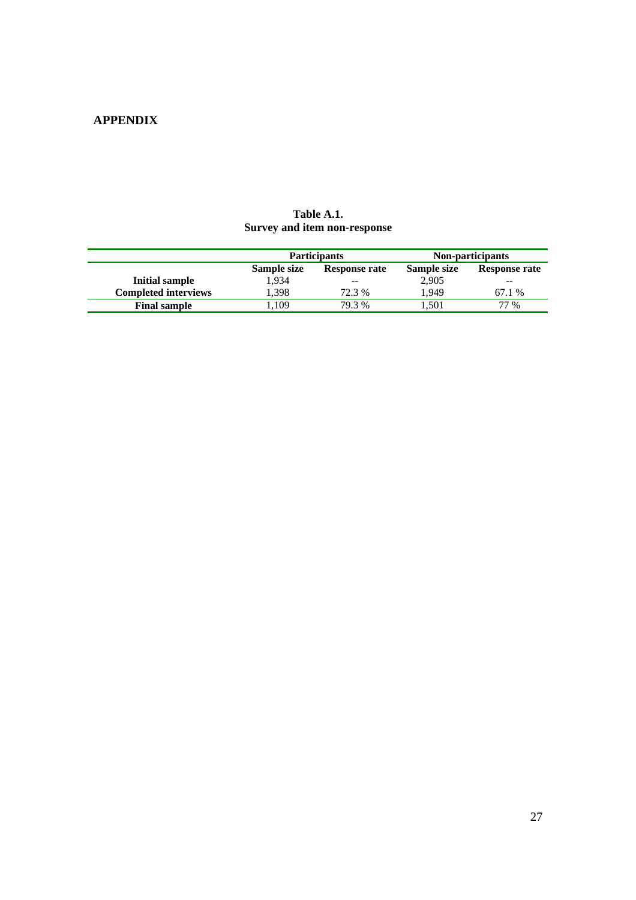## **APPENDIX**

|                             |             | <b>Participants</b> | Non-participants |               |  |
|-----------------------------|-------------|---------------------|------------------|---------------|--|
|                             | Sample size | Response rate       | Sample size      | Response rate |  |
| Initial sample              | 1.934       | --                  | 2,905            | $- -$         |  |
| <b>Completed interviews</b> | 1.398       | 72.3 %              | 1.949            | 67.1 %        |  |
| <b>Final sample</b>         | .109        | 79.3 %              | 1.501            | 77 %          |  |

## **Table A.1. Survey and item non-response**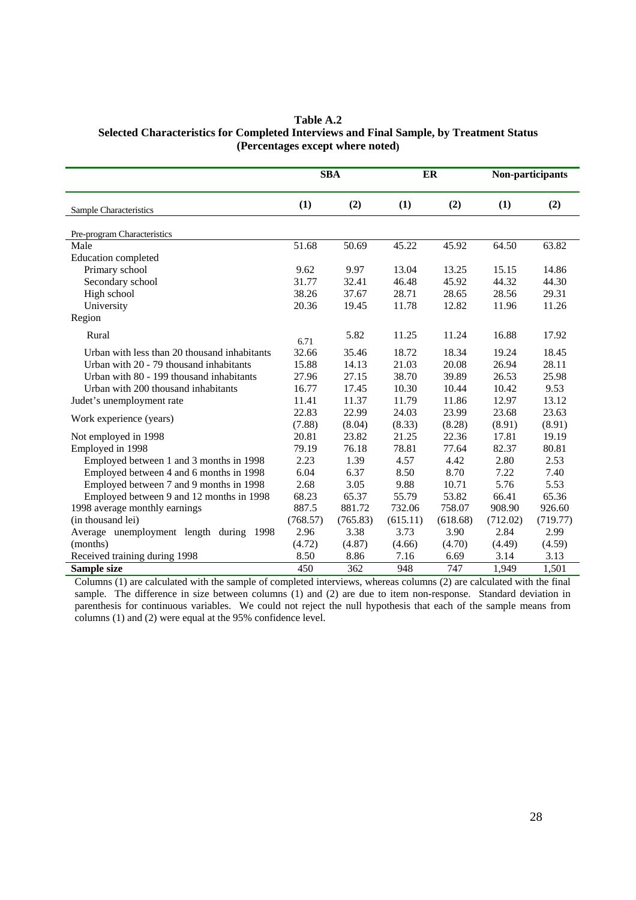| Table A.2                                                                               |
|-----------------------------------------------------------------------------------------|
| Selected Characteristics for Completed Interviews and Final Sample, by Treatment Status |
| (Percentages except where noted)                                                        |

|                                              | <b>SBA</b> |          | ER       |          | Non-participants |          |
|----------------------------------------------|------------|----------|----------|----------|------------------|----------|
| Sample Characteristics                       | (1)        | (2)      | (1)      | (2)      | (1)              | (2)      |
| Pre-program Characteristics                  |            |          |          |          |                  |          |
| Male                                         | 51.68      | 50.69    | 45.22    | 45.92    | 64.50            | 63.82    |
| Education completed                          |            |          |          |          |                  |          |
| Primary school                               | 9.62       | 9.97     | 13.04    | 13.25    | 15.15            | 14.86    |
| Secondary school                             | 31.77      | 32.41    | 46.48    | 45.92    | 44.32            | 44.30    |
| High school                                  | 38.26      | 37.67    | 28.71    | 28.65    | 28.56            | 29.31    |
| University                                   | 20.36      | 19.45    | 11.78    | 12.82    | 11.96            | 11.26    |
| Region                                       |            |          |          |          |                  |          |
| Rural                                        | 6.71       | 5.82     | 11.25    | 11.24    | 16.88            | 17.92    |
| Urban with less than 20 thousand inhabitants | 32.66      | 35.46    | 18.72    | 18.34    | 19.24            | 18.45    |
| Urban with 20 - 79 thousand inhabitants      | 15.88      | 14.13    | 21.03    | 20.08    | 26.94            | 28.11    |
| Urban with 80 - 199 thousand inhabitants     | 27.96      | 27.15    | 38.70    | 39.89    | 26.53            | 25.98    |
| Urban with 200 thousand inhabitants          | 16.77      | 17.45    | 10.30    | 10.44    | 10.42            | 9.53     |
| Judet's unemployment rate                    | 11.41      | 11.37    | 11.79    | 11.86    | 12.97            | 13.12    |
|                                              | 22.83      | 22.99    | 24.03    | 23.99    | 23.68            | 23.63    |
| Work experience (years)                      | (7.88)     | (8.04)   | (8.33)   | (8.28)   | (8.91)           | (8.91)   |
| Not employed in 1998                         | 20.81      | 23.82    | 21.25    | 22.36    | 17.81            | 19.19    |
| Employed in 1998                             | 79.19      | 76.18    | 78.81    | 77.64    | 82.37            | 80.81    |
| Employed between 1 and 3 months in 1998      | 2.23       | 1.39     | 4.57     | 4.42     | 2.80             | 2.53     |
| Employed between 4 and 6 months in 1998      | 6.04       | 6.37     | 8.50     | 8.70     | 7.22             | 7.40     |
| Employed between 7 and 9 months in 1998      | 2.68       | 3.05     | 9.88     | 10.71    | 5.76             | 5.53     |
| Employed between 9 and 12 months in 1998     | 68.23      | 65.37    | 55.79    | 53.82    | 66.41            | 65.36    |
| 1998 average monthly earnings                | 887.5      | 881.72   | 732.06   | 758.07   | 908.90           | 926.60   |
| (in thousand lei)                            | (768.57)   | (765.83) | (615.11) | (618.68) | (712.02)         | (719.77) |
| Average unemployment length during 1998      | 2.96       | 3.38     | 3.73     | 3.90     | 2.84             | 2.99     |
| (months)                                     | (4.72)     | (4.87)   | (4.66)   | (4.70)   | (4.49)           | (4.59)   |
| Received training during 1998                | 8.50       | 8.86     | 7.16     | 6.69     | 3.14             | 3.13     |
| Sample size                                  | 450        | 362      | 948      | 747      | 1,949            | 1,501    |

Columns (1) are calculated with the sample of completed interviews, whereas columns (2) are calculated with the final sample. The difference in size between columns (1) and (2) are due to item non-response. Standard deviation in parenthesis for continuous variables. We could not reject the null hypothesis that each of the sample means from columns (1) and (2) were equal at the 95% confidence level.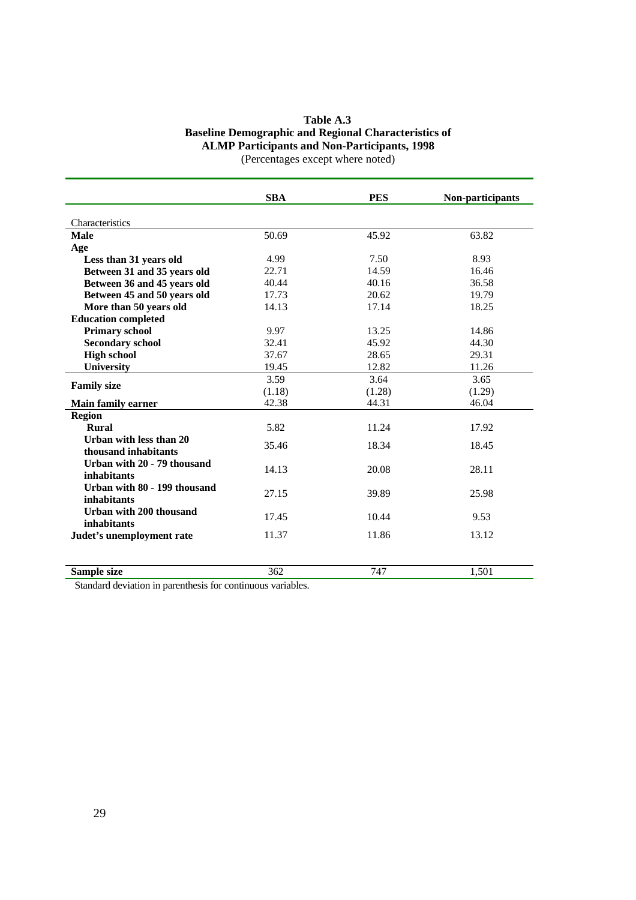## **Table A.3 Baseline Demographic and Regional Characteristics of ALMP Participants and Non-Participants, 1998**  (Percentages except where noted)

|                              | <b>SBA</b> | <b>PES</b> | Non-participants |
|------------------------------|------------|------------|------------------|
|                              |            |            |                  |
| Characteristics              |            |            |                  |
| <b>Male</b>                  | 50.69      | 45.92      | 63.82            |
| Age                          |            |            |                  |
| Less than 31 years old       | 4.99       | 7.50       | 8.93             |
| Between 31 and 35 years old  | 22.71      | 14.59      | 16.46            |
| Between 36 and 45 years old  | 40.44      | 40.16      | 36.58            |
| Between 45 and 50 years old  | 17.73      | 20.62      | 19.79            |
| More than 50 years old       | 14.13      | 17.14      | 18.25            |
| <b>Education completed</b>   |            |            |                  |
| <b>Primary school</b>        | 9.97       | 13.25      | 14.86            |
| <b>Secondary school</b>      | 32.41      | 45.92      | 44.30            |
| <b>High school</b>           | 37.67      | 28.65      | 29.31            |
| <b>University</b>            | 19.45      | 12.82      | 11.26            |
| <b>Family size</b>           | 3.59       | 3.64       | 3.65             |
|                              | (1.18)     | (1.28)     | (1.29)           |
| <b>Main family earner</b>    | 42.38      | 44.31      | 46.04            |
| <b>Region</b>                |            |            |                  |
| <b>Rural</b>                 | 5.82       | 11.24      | 17.92            |
| Urban with less than 20      |            |            |                  |
| thousand inhabitants         | 35.46      | 18.34      | 18.45            |
| Urban with 20 - 79 thousand  |            |            |                  |
| inhabitants                  | 14.13      | 20.08      | 28.11            |
| Urban with 80 - 199 thousand |            |            |                  |
| inhabitants                  | 27.15      | 39.89      | 25.98            |
| Urban with 200 thousand      | 17.45      | 10.44      | 9.53             |
| inhabitants                  |            |            |                  |
| Judet's unemployment rate    | 11.37      | 11.86      | 13.12            |
|                              |            |            |                  |
| Sample size                  | 362        | 747        | 1,501            |

Standard deviation in parenthesis for continuous variables.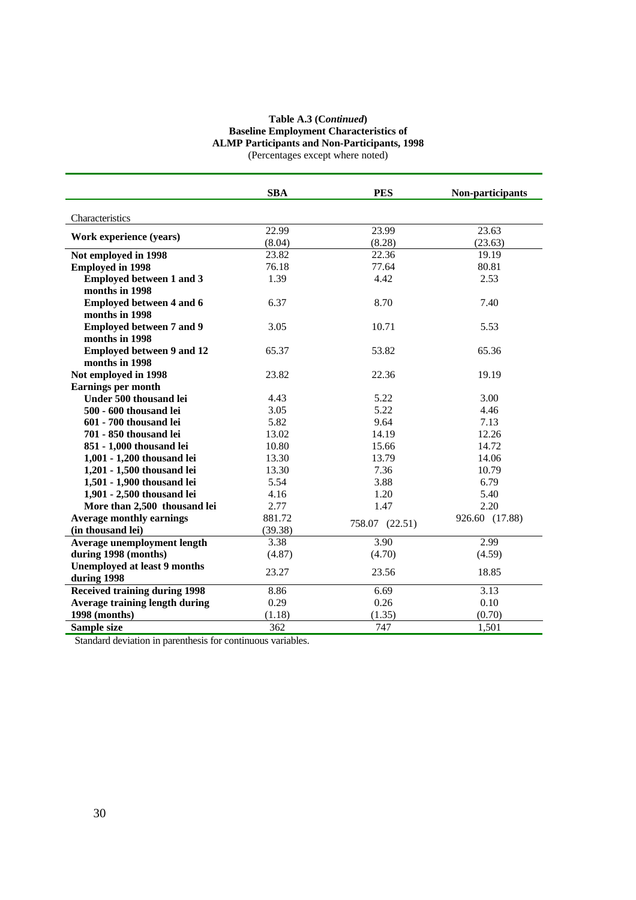#### **Table A.3 (C***ontinued***) Baseline Employment Characteristics of ALMP Participants and Non-Participants, 1998**  (Percentages except where noted)

|                                      | <b>SBA</b> | <b>PES</b>     | Non-participants |
|--------------------------------------|------------|----------------|------------------|
| Characteristics                      |            |                |                  |
|                                      | 22.99      | 23.99          | 23.63            |
| Work experience (years)              | (8.04)     | (8.28)         | (23.63)          |
| Not employed in 1998                 | 23.82      | 22.36          | 19.19            |
| <b>Employed in 1998</b>              | 76.18      | 77.64          | 80.81            |
| <b>Employed between 1 and 3</b>      | 1.39       | 4.42           | 2.53             |
| months in 1998                       |            |                |                  |
| <b>Employed between 4 and 6</b>      | 6.37       | 8.70           | 7.40             |
| months in 1998                       |            |                |                  |
| <b>Employed between 7 and 9</b>      | 3.05       | 10.71          | 5.53             |
| months in 1998                       |            |                |                  |
| <b>Employed between 9 and 12</b>     | 65.37      | 53.82          | 65.36            |
| months in 1998                       |            |                |                  |
| Not employed in 1998                 | 23.82      | 22.36          | 19.19            |
| Earnings per month                   |            |                |                  |
| Under 500 thousand lei               | 4.43       | 5.22           | 3.00             |
| 500 - 600 thousand lei               | 3.05       | 5.22           | 4.46             |
| 601 - 700 thousand lei               | 5.82       | 9.64           | 7.13             |
| 701 - 850 thousand lei               | 13.02      | 14.19          | 12.26            |
| 851 - 1,000 thousand lei             | 10.80      | 15.66          | 14.72            |
| 1,001 - 1,200 thousand lei           | 13.30      | 13.79          | 14.06            |
| 1,201 - 1,500 thousand lei           | 13.30      | 7.36           | 10.79            |
| 1,501 - 1,900 thousand lei           | 5.54       | 3.88           | 6.79             |
| 1,901 - 2,500 thousand lei           | 4.16       | 1.20           | 5.40             |
| More than 2,500 thousand lei         | 2.77       | 1.47           | 2.20             |
| <b>Average monthly earnings</b>      | 881.72     | 758.07 (22.51) | 926.60 (17.88)   |
| (in thousand lei)                    | (39.38)    |                |                  |
| <b>Average unemployment length</b>   | 3.38       | 3.90           | 2.99             |
| during 1998 (months)                 | (4.87)     | (4.70)         | (4.59)           |
| <b>Unemployed at least 9 months</b>  | 23.27      | 23.56          | 18.85            |
| during 1998                          |            |                |                  |
| <b>Received training during 1998</b> | 8.86       | 6.69           | 3.13             |
| Average training length during       | 0.29       | 0.26           | 0.10             |
| 1998 (months)                        | (1.18)     | (1.35)         | (0.70)           |
| Sample size                          | 362        | 747            | 1,501            |

Standard deviation in parenthesis for continuous variables.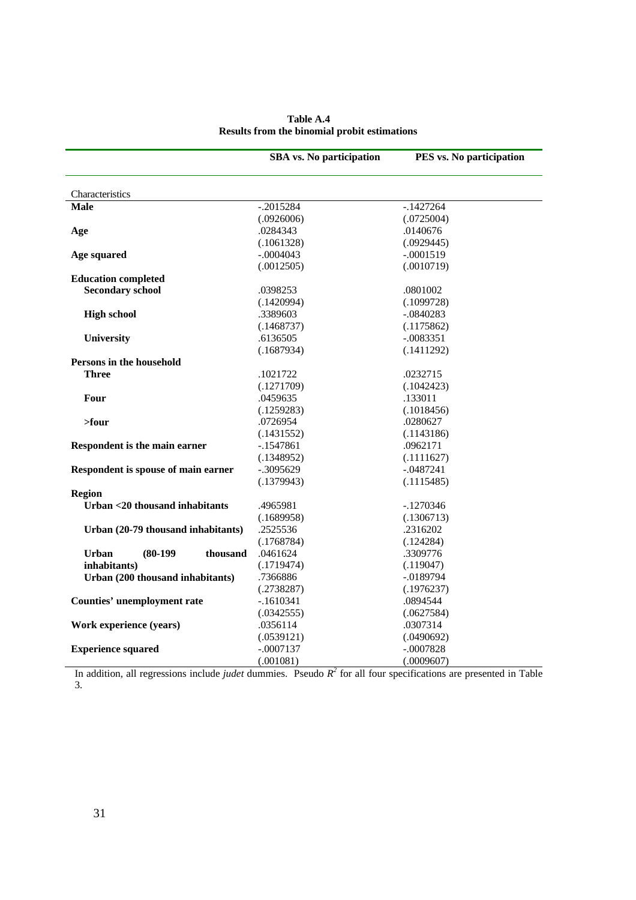|                                        | <b>SBA</b> vs. No participation | PES vs. No participation |
|----------------------------------------|---------------------------------|--------------------------|
|                                        |                                 |                          |
| Characteristics                        |                                 |                          |
| <b>Male</b>                            | $-.2015284$                     | $-.1427264$              |
|                                        | (.0926006)                      | (.0725004)               |
| Age                                    | .0284343                        | .0140676                 |
|                                        | (.1061328)                      | (.0929445)               |
| Age squared                            | $-.0004043$                     | $-.0001519$              |
|                                        | (.0012505)                      | (.0010719)               |
| <b>Education completed</b>             |                                 |                          |
| <b>Secondary school</b>                | .0398253                        | .0801002                 |
|                                        | (.1420994)                      | (.1099728)               |
| <b>High school</b>                     | .3389603                        | $-.0840283$              |
|                                        | (.1468737)                      | (.1175862)               |
| University                             | .6136505                        | $-.0083351$              |
|                                        | (.1687934)                      | (.1411292)               |
| Persons in the household               |                                 |                          |
| Three                                  | .1021722                        | .0232715                 |
|                                        | (.1271709)                      | (.1042423)               |
| Four                                   | .0459635                        | .133011                  |
|                                        | (.1259283)                      | (.1018456)               |
| $>$ four                               | .0726954                        | .0280627                 |
|                                        | (.1431552)                      | (.1143186)               |
| Respondent is the main earner          | $-.1547861$                     | .0962171                 |
|                                        | (.1348952)                      | (.1111627)               |
| Respondent is spouse of main earner    | $-.3095629$                     | $-.0487241$              |
|                                        | (.1379943)                      | (.1115485)               |
| <b>Region</b>                          |                                 |                          |
| Urban <20 thousand inhabitants         | .4965981                        | $-1270346$               |
|                                        | (.1689958)                      | (.1306713)               |
| Urban (20-79 thousand inhabitants)     | .2525536                        | .2316202                 |
|                                        | (.1768784)                      | (.124284)                |
| <b>Urban</b><br>$(80-199)$<br>thousand | .0461624                        | .3309776                 |
| inhabitants)                           | (.1719474)                      | (.119047)                |
| Urban (200 thousand inhabitants)       | .7366886                        | $-.0189794$              |
|                                        | (.2738287)                      | (.1976237)               |
| <b>Counties' unemployment rate</b>     | $-.1610341$                     | .0894544                 |
|                                        | (.0342555)                      | (.0627584)               |
| Work experience (years)                | .0356114                        | .0307314                 |
|                                        | (.0539121)                      | (.0490692)               |
| <b>Experience squared</b>              | $-.0007137$                     | $-.0007828$              |
|                                        | (.001081)                       | (.0009607)               |

## **Table A.4 Results from the binomial probit estimations**

In addition, all regressions include *judet* dummies. Pseudo  $R^2$  for all four specifications are presented in Table 3.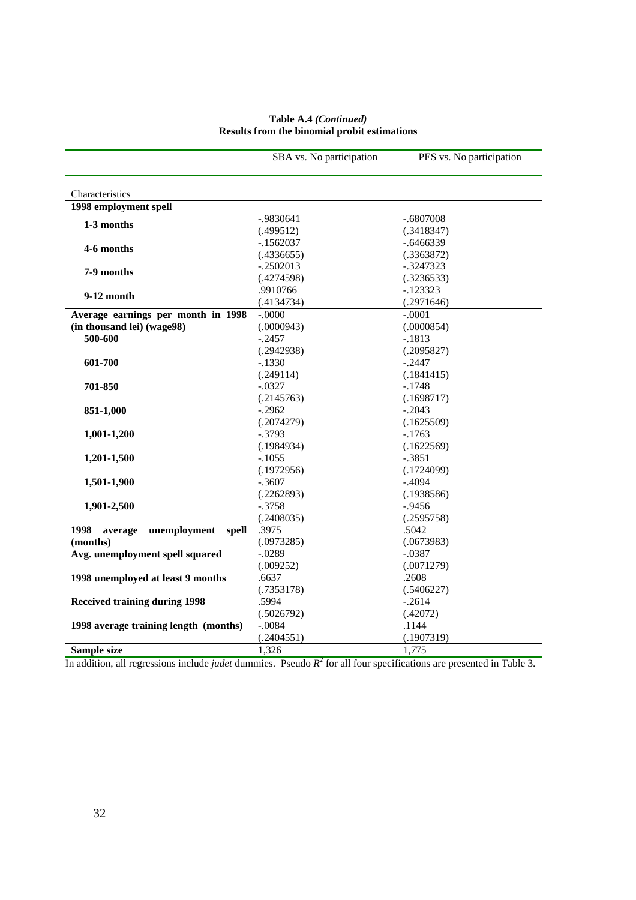| Characteristics<br>1998 employment spell                         |  |
|------------------------------------------------------------------|--|
|                                                                  |  |
|                                                                  |  |
|                                                                  |  |
| $-.9830641$<br>$-.6807008$                                       |  |
| 1-3 months<br>(.499512)<br>(.3418347)                            |  |
| $-1562037$<br>$-.6466339$                                        |  |
| 4-6 months<br>(.4336655)<br>(.3363872)                           |  |
| $-.2502013$<br>$-.3247323$                                       |  |
| 7-9 months<br>(.4274598)<br>(.3236533)                           |  |
| .9910766<br>$-123323$<br>9-12 month                              |  |
| (.4134734)<br>(.2971646)                                         |  |
| $-.0000$<br>$-.0001$<br>Average earnings per month in 1998       |  |
| (in thousand lei) (wage98)<br>(.0000943)<br>(.0000854)           |  |
| 500-600<br>$-.2457$<br>$-.1813$                                  |  |
| (.2942938)<br>(.2095827)                                         |  |
| $-.2447$<br>601-700<br>$-.1330$                                  |  |
| (.249114)<br>(.1841415)                                          |  |
| $-.0327$<br>$-.1748$<br>701-850                                  |  |
| (.2145763)<br>(.1698717)                                         |  |
| $-.2962$<br>$-.2043$<br>851-1,000                                |  |
| (.2074279)<br>(.1625509)                                         |  |
| 1,001-1,200<br>$-.3793$<br>$-.1763$                              |  |
| (.1984934)<br>(.1622569)                                         |  |
| $-.1055$<br>$-.3851$<br>1,201-1,500                              |  |
| (.1972956)<br>(.1724099)                                         |  |
| $-.3607$<br>$-.4094$<br>1,501-1,900                              |  |
| (.2262893)<br>(.1938586)                                         |  |
| $-.3758$<br>1,901-2,500<br>$-0.9456$<br>(.2408035)<br>(.2595758) |  |
| .5042<br>1998<br>unemployment spell<br>.3975<br>average          |  |
| (.0973285)<br>(.0673983)<br>(months)                             |  |
| Avg. unemployment spell squared<br>$-.0289$<br>$-.0387$          |  |
| (.009252)<br>(.0071279)                                          |  |
| 1998 unemployed at least 9 months<br>.6637<br>.2608              |  |
| (.7353178)<br>(.5406227)                                         |  |
| .5994<br>$-.2614$<br><b>Received training during 1998</b>        |  |
| (.5026792)<br>(.42072)                                           |  |
| $-.0084$<br>1998 average training length (months)<br>.1144       |  |
| (.2404551)<br>(.1907319)                                         |  |
| Sample size<br>1,326<br>1,775                                    |  |

### **Table A.4** *(Continued)*  **Results from the binomial probit estimations**

In addition, all regressions include *judet* dummies. Pseudo *R2* for all four specifications are presented in Table 3.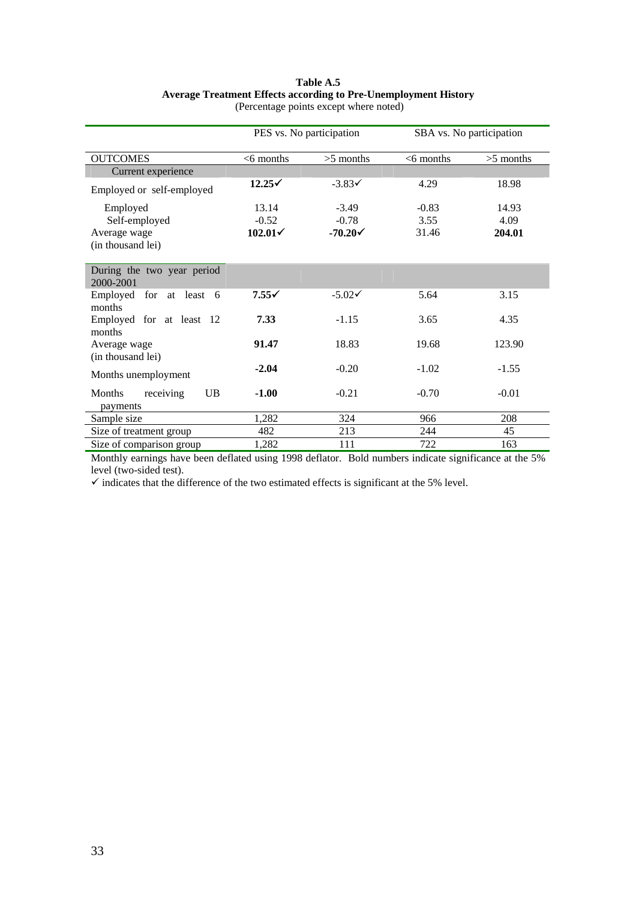## **Table A.5 Average Treatment Effects according to Pre-Unemployment History**

|                                                                                                        | PES vs. No participation |                    | SBA vs. No participation |             |  |
|--------------------------------------------------------------------------------------------------------|--------------------------|--------------------|--------------------------|-------------|--|
| <b>OUTCOMES</b>                                                                                        | $<$ 6 months             | $>5$ months        | $<$ 6 months             | $>5$ months |  |
| Current experience                                                                                     |                          |                    |                          |             |  |
| Employed or self-employed                                                                              | $12.25\checkmark$        | $-3.83<$           | 4.29                     | 18.98       |  |
| Employed                                                                                               | 13.14                    | $-3.49$            | $-0.83$                  | 14.93       |  |
| Self-employed                                                                                          | $-0.52$                  | $-0.78$            | 3.55                     | 4.09        |  |
| Average wage                                                                                           | $102.01\check{ }$        | $-70.20\checkmark$ | 31.46                    | 204.01      |  |
| (in thousand lei)                                                                                      |                          |                    |                          |             |  |
|                                                                                                        |                          |                    |                          |             |  |
| During the two year period<br>2000-2001                                                                |                          |                    |                          |             |  |
| Employed for at least 6<br>months                                                                      | $7.55\checkmark$         | $-5.02\checkmark$  | 5.64                     | 3.15        |  |
| Employed for at least 12<br>months                                                                     | 7.33                     | $-1.15$            | 3.65                     | 4.35        |  |
| Average wage                                                                                           | 91.47                    | 18.83              | 19.68                    | 123.90      |  |
| (in thousand lei)<br>Months unemployment                                                               | $-2.04$                  | $-0.20$            | $-1.02$                  | $-1.55$     |  |
|                                                                                                        |                          |                    |                          |             |  |
| <b>UB</b><br>Months<br>receiving<br>payments                                                           | $-1.00$                  | $-0.21$            | $-0.70$                  | $-0.01$     |  |
| Sample size                                                                                            | 1,282                    | 324                | 966                      | 208         |  |
| Size of treatment group                                                                                | 482                      | 213                | 244                      | 45          |  |
| Size of comparison group                                                                               | 1,282                    | 111                | 722                      | 163         |  |
| Monthly earnings have been defleted using 1009 defleter. Bold numbers indicate significance at the 50% |                          |                    |                          |             |  |

(Percentage points except where noted)

Monthly earnings have been deflated using 1998 deflator. Bold numbers indicate significance at the 5% level (two-sided test).

 $\checkmark$  indicates that the difference of the two estimated effects is significant at the 5% level.